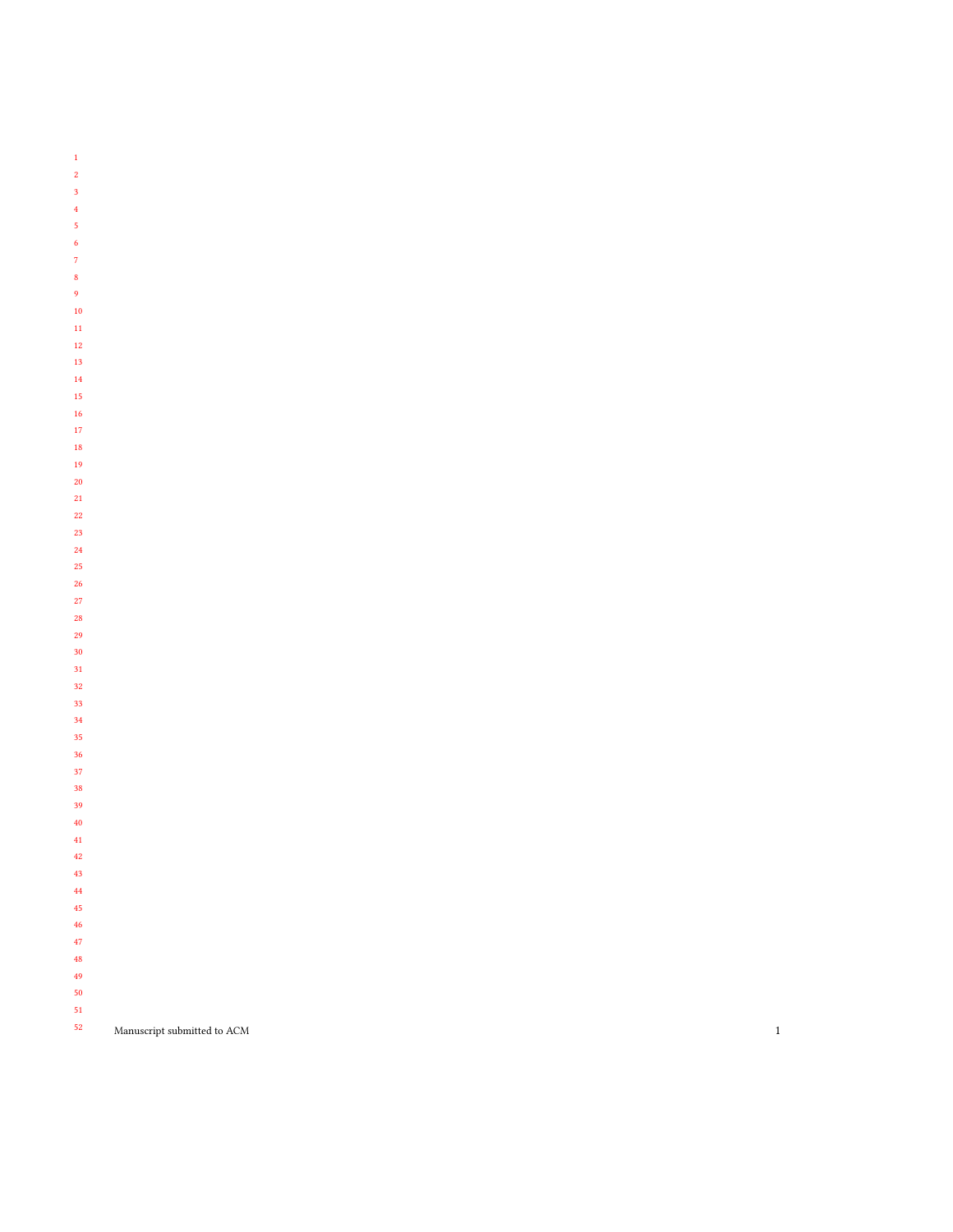$\mathbf{1}^{\top}$ 

- $\overline{2}$
- $\overline{\mathbf{3}}$
- $\overline{4}$  $\overline{\mathbf{5}}$
- $6<sup>1</sup>$
- $\bar{\tau}$
- $\overline{\mathbf{8}}$
- $\overline{9}$
- 
- 
- 
- 
- 
- 
- 
- 
- 
- 
- 
- 
- 
- 
- 
- 
- 
- 
- 
- 
- 
- 
- 
- 
- 
- 

- 
- 
- 
- 
- 
- 
- 
- 
- Manuscript submitted to ACM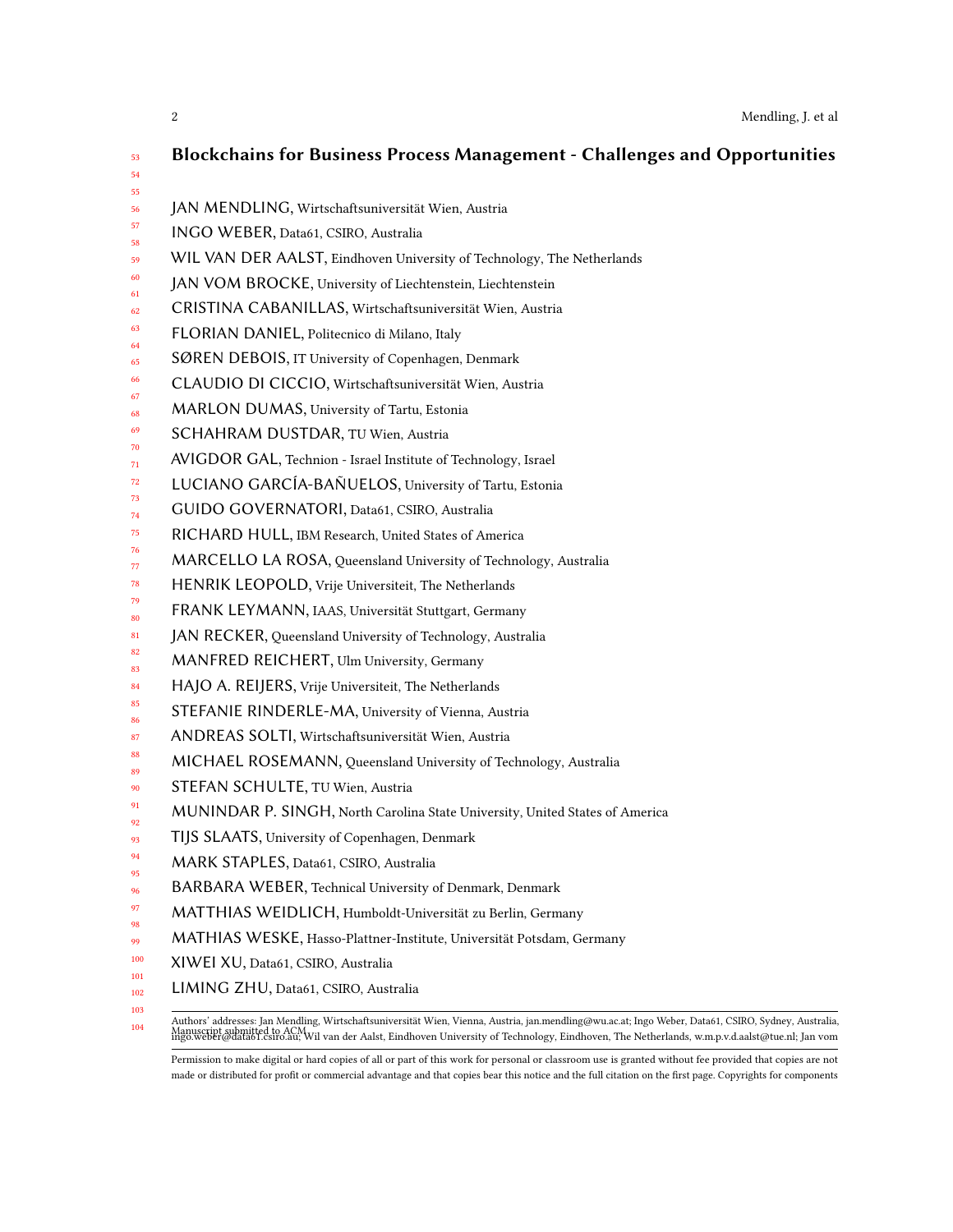| <b>Blockchains for Business Process Management - Challenges and Opportunities</b> |
|-----------------------------------------------------------------------------------|
|                                                                                   |
| JAN MENDLING, Wirtschaftsuniversität Wien, Austria                                |
| INGO WEBER, Data61, CSIRO, Australia                                              |
| WIL VAN DER AALST, Eindhoven University of Technology, The Netherlands            |
| JAN VOM BROCKE, University of Liechtenstein, Liechtenstein                        |
| CRISTINA CABANILLAS, Wirtschaftsuniversität Wien, Austria                         |
| FLORIAN DANIEL, Politecnico di Milano, Italy                                      |
| SØREN DEBOIS, IT University of Copenhagen, Denmark                                |
| CLAUDIO DI CICCIO, Wirtschaftsuniversität Wien, Austria                           |
| MARLON DUMAS, University of Tartu, Estonia                                        |
| SCHAHRAM DUSTDAR, TU Wien, Austria                                                |
| AVIGDOR GAL, Technion - Israel Institute of Technology, Israel                    |
| LUCIANO GARCÍA-BAÑUELOS, University of Tartu, Estonia                             |
| GUIDO GOVERNATORI, Data61, CSIRO, Australia                                       |
| RICHARD HULL, IBM Research, United States of America                              |
| MARCELLO LA ROSA, Queensland University of Technology, Australia                  |
| HENRIK LEOPOLD, Vrije Universiteit, The Netherlands                               |
| FRANK LEYMANN, IAAS, Universität Stuttgart, Germany                               |
| JAN RECKER, Queensland University of Technology, Australia                        |
| MANFRED REICHERT, Ulm University, Germany                                         |
| HAJO A. REIJERS, Vrije Universiteit, The Netherlands                              |
| STEFANIE RINDERLE-MA, University of Vienna, Austria                               |
| ANDREAS SOLTI, Wirtschaftsuniversität Wien, Austria                               |
| MICHAEL ROSEMANN, Queensland University of Technology, Australia                  |
| STEFAN SCHULTE, TU Wien, Austria                                                  |
| MUNINDAR P. SINGH, North Carolina State University, United States of America      |
| TIJS SLAATS, University of Copenhagen, Denmark                                    |
| MARK STAPLES, Data61, CSIRO, Australia                                            |
| BARBARA WEBER, Technical University of Denmark, Denmark                           |
| MATTHIAS WEIDLICH, Humboldt-Universität zu Berlin, Germany                        |
| MATHIAS WESKE, Hasso-Plattner-Institute, Universität Potsdam, Germany             |
| XIWEI XU, Data61, CSIRO, Australia                                                |
| LIMING ZHU, Data61, CSIRO, Australia                                              |

Permission to make digital or hard copies of all or part of this work for personal or classroom use is granted without fee provided that copies are not made or distributed for profit or commercial advantage and that copies bear this notice and the full citation on the first page. Copyrights for components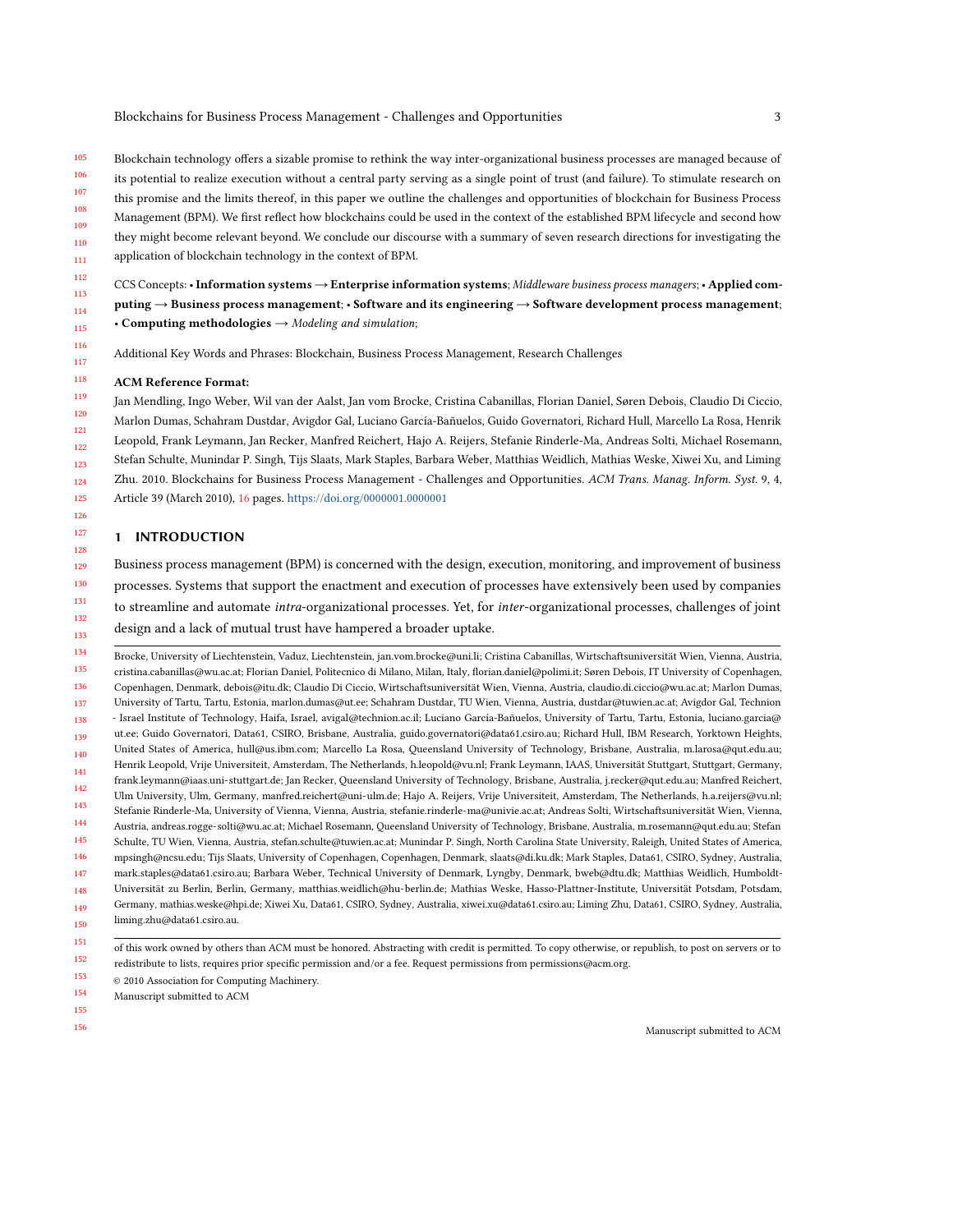### Blockchains for Business Process Management - Challenges and Opportunities 3

105 106 107 108 109 110 111 Blockchain technology offers a sizable promise to rethink the way inter-organizational business processes are managed because of its potential to realize execution without a central party serving as a single point of trust (and failure). To stimulate research on this promise and the limits thereof, in this paper we outline the challenges and opportunities of blockchain for Business Process Management (BPM). We first reflect how blockchains could be used in the context of the established BPM lifecycle and second how they might become relevant beyond. We conclude our discourse with a summary of seven research directions for investigating the application of blockchain technology in the context of BPM.

- 112 CCS Concepts: • Information systems → Enterprise information systems; Middleware business process managers; • Applied com-
- 113 114 puting → Business process management; • Software and its engineering → Software development process management;
- 115 • Computing methodologies  $\rightarrow$  Modeling and simulation;

116 117 Additional Key Words and Phrases: Blockchain, Business Process Management, Research Challenges

#### 118 ACM Reference Format:

119 120 121 122 123 124 125 Jan Mendling, Ingo Weber, Wil van der Aalst, Jan vom Brocke, Cristina Cabanillas, Florian Daniel, Søren Debois, Claudio Di Ciccio, Marlon Dumas, Schahram Dustdar, Avigdor Gal, Luciano García-Bañuelos, Guido Governatori, Richard Hull, Marcello La Rosa, Henrik Leopold, Frank Leymann, Jan Recker, Manfred Reichert, Hajo A. Reijers, Stefanie Rinderle-Ma, Andreas Solti, Michael Rosemann, Stefan Schulte, Munindar P. Singh, Tijs Slaats, Mark Staples, Barbara Weber, Matthias Weidlich, Mathias Weske, Xiwei Xu, and Liming Zhu. 2010. Blockchains for Business Process Management - Challenges and Opportunities. ACM Trans. Manag. Inform. Syst. 9, 4, Article 39 (March 2010), [16](#page-15-0) pages. <https://doi.org/0000001.0000001>

## 1 INTRODUCTION

126 127 128

129 130 131 132 133 Business process management (BPM) is concerned with the design, execution, monitoring, and improvement of business processes. Systems that support the enactment and execution of processes have extensively been used by companies to streamline and automate intra-organizational processes. Yet, for inter-organizational processes, challenges of joint design and a lack of mutual trust have hampered a broader uptake.

- 153 © 2010 Association for Computing Machinery.
- 154 Manuscript submitted to ACM
- 155 156

<sup>134</sup> 135 136 137 138 139 140 141 142 143 144 145 146 147 148 149 150 Brocke, University of Liechtenstein, Vaduz, Liechtenstein, jan.vom.brocke@uni.li; Cristina Cabanillas, Wirtschaftsuniversität Wien, Vienna, Austria, cristina.cabanillas@wu.ac.at; Florian Daniel, Politecnico di Milano, Milan, Italy, florian.daniel@polimi.it; Søren Debois, IT University of Copenhagen, Copenhagen, Denmark, debois@itu.dk; Claudio Di Ciccio, Wirtschaftsuniversität Wien, Vienna, Austria, claudio.di.ciccio@wu.ac.at; Marlon Dumas, University of Tartu, Tartu, Estonia, marlon.dumas@ut.ee; Schahram Dustdar, TU Wien, Vienna, Austria, dustdar@tuwien.ac.at; Avigdor Gal, Technion - Israel Institute of Technology, Haifa, Israel, avigal@technion.ac.il; Luciano García-Bañuelos, University of Tartu, Tartu, Estonia, luciano.garcia@ ut.ee; Guido Governatori, Data61, CSIRO, Brisbane, Australia, guido.governatori@data61.csiro.au; Richard Hull, IBM Research, Yorktown Heights, United States of America, hull@us.ibm.com; Marcello La Rosa, Queensland University of Technology, Brisbane, Australia, m.larosa@qut.edu.au; Henrik Leopold, Vrije Universiteit, Amsterdam, The Netherlands, h.leopold@vu.nl; Frank Leymann, IAAS, Universität Stuttgart, Stuttgart, Germany, frank.leymann@iaas.uni-stuttgart.de; Jan Recker, Queensland University of Technology, Brisbane, Australia, j.recker@qut.edu.au; Manfred Reichert, Ulm University, Ulm, Germany, manfred.reichert@uni-ulm.de; Hajo A. Reijers, Vrije Universiteit, Amsterdam, The Netherlands, h.a.reijers@vu.nl; Stefanie Rinderle-Ma, University of Vienna, Vienna, Austria, stefanie.rinderle-ma@univie.ac.at; Andreas Solti, Wirtschaftsuniversität Wien, Vienna, Austria, andreas.rogge-solti@wu.ac.at; Michael Rosemann, Queensland University of Technology, Brisbane, Australia, m.rosemann@qut.edu.au; Stefan Schulte, TU Wien, Vienna, Austria, stefan.schulte@tuwien.ac.at; Munindar P. Singh, North Carolina State University, Raleigh, United States of America, mpsingh@ncsu.edu; Tijs Slaats, University of Copenhagen, Copenhagen, Denmark, slaats@di.ku.dk; Mark Staples, Data61, CSIRO, Sydney, Australia, mark.staples@data61.csiro.au; Barbara Weber, Technical University of Denmark, Lyngby, Denmark, bweb@dtu.dk; Matthias Weidlich, Humboldt-Universität zu Berlin, Berlin, Germany, matthias.weidlich@hu-berlin.de; Mathias Weske, Hasso-Plattner-Institute, Universität Potsdam, Potsdam, Germany, mathias.weske@hpi.de; Xiwei Xu, Data61, CSIRO, Sydney, Australia, xiwei.xu@data61.csiro.au; Liming Zhu, Data61, CSIRO, Sydney, Australia, liming.zhu@data61.csiro.au.

<sup>151</sup> 152 of this work owned by others than ACM must be honored. Abstracting with credit is permitted. To copy otherwise, or republish, to post on servers or to redistribute to lists, requires prior specific permission and/or a fee. Request permissions from permissions@acm.org.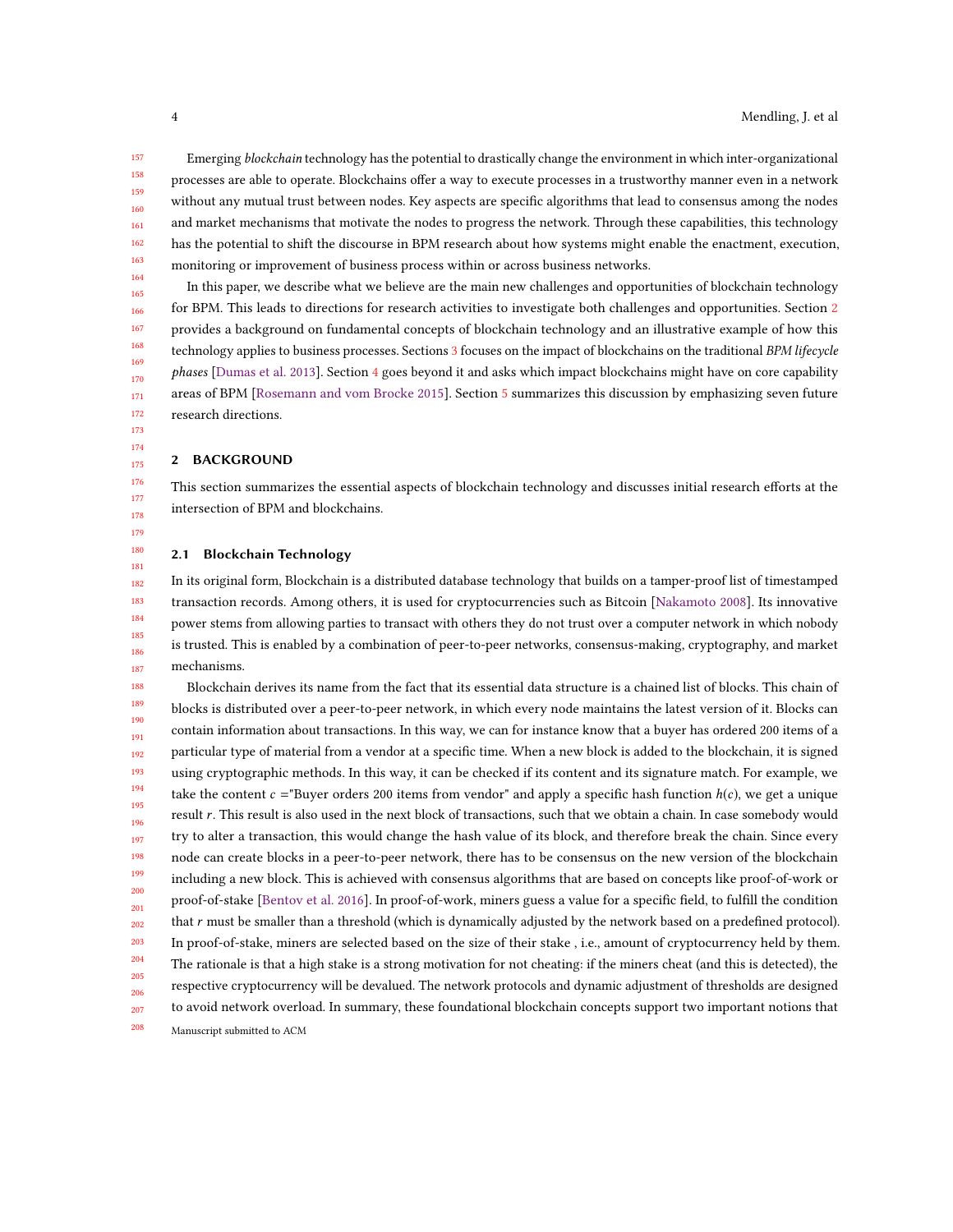Emerging blockchain technology has the potential to drastically change the environment in which inter-organizational processes are able to operate. Blockchains offer a way to execute processes in a trustworthy manner even in a network without any mutual trust between nodes. Key aspects are specific algorithms that lead to consensus among the nodes and market mechanisms that motivate the nodes to progress the network. Through these capabilities, this technology has the potential to shift the discourse in BPM research about how systems might enable the enactment, execution, monitoring or improvement of business process within or across business networks.

165 166 167 168 169 170 171 172 In this paper, we describe what we believe are the main new challenges and opportunities of blockchain technology for BPM. This leads to directions for research activities to investigate both challenges and opportunities. Section [2](#page-3-0) provides a background on fundamental concepts of blockchain technology and an illustrative example of how this technology applies to business processes. Sections [3](#page-7-0) focuses on the impact of blockchains on the traditional BPM lifecycle phases [\[Dumas et al.](#page-14-0) [2013\]](#page-14-0). Section [4](#page-11-0) goes beyond it and asks which impact blockchains might have on core capability areas of BPM [\[Rosemann and vom Brocke](#page-14-1) [2015\]](#page-14-1). Section [5](#page-12-0) summarizes this discussion by emphasizing seven future research directions.

## <span id="page-3-0"></span>2 BACKGROUND

This section summarizes the essential aspects of blockchain technology and discusses initial research efforts at the intersection of BPM and blockchains.

#### 180 181 2.1 Blockchain Technology

182 183 184 185 186 187 In its original form, Blockchain is a distributed database technology that builds on a tamper-proof list of timestamped transaction records. Among others, it is used for cryptocurrencies such as Bitcoin [\[Nakamoto](#page-14-2) [2008\]](#page-14-2). Its innovative power stems from allowing parties to transact with others they do not trust over a computer network in which nobody is trusted. This is enabled by a combination of peer-to-peer networks, consensus-making, cryptography, and market mechanisms.

188 189 190 191 192 193 194 195 196 197 198 199 200 201 202 203 204 205 206 207 Blockchain derives its name from the fact that its essential data structure is a chained list of blocks. This chain of blocks is distributed over a peer-to-peer network, in which every node maintains the latest version of it. Blocks can contain information about transactions. In this way, we can for instance know that a buyer has ordered 200 items of a particular type of material from a vendor at a specific time. When a new block is added to the blockchain, it is signed using cryptographic methods. In this way, it can be checked if its content and its signature match. For example, we take the content  $c =$ "Buyer orders 200 items from vendor" and apply a specific hash function  $h(c)$ , we get a unique result r. This result is also used in the next block of transactions, such that we obtain a chain. In case somebody would try to alter a transaction, this would change the hash value of its block, and therefore break the chain. Since every node can create blocks in a peer-to-peer network, there has to be consensus on the new version of the blockchain including a new block. This is achieved with consensus algorithms that are based on concepts like proof-of-work or proof-of-stake [\[Bentov et al.](#page-13-0) [2016\]](#page-13-0). In proof-of-work, miners guess a value for a specific field, to fulfill the condition that r must be smaller than a threshold (which is dynamically adjusted by the network based on a predefined protocol). In proof-of-stake, miners are selected based on the size of their stake , i.e., amount of cryptocurrency held by them. The rationale is that a high stake is a strong motivation for not cheating: if the miners cheat (and this is detected), the respective cryptocurrency will be devalued. The network protocols and dynamic adjustment of thresholds are designed to avoid network overload. In summary, these foundational blockchain concepts support two important notions that

208 Manuscript submitted to ACM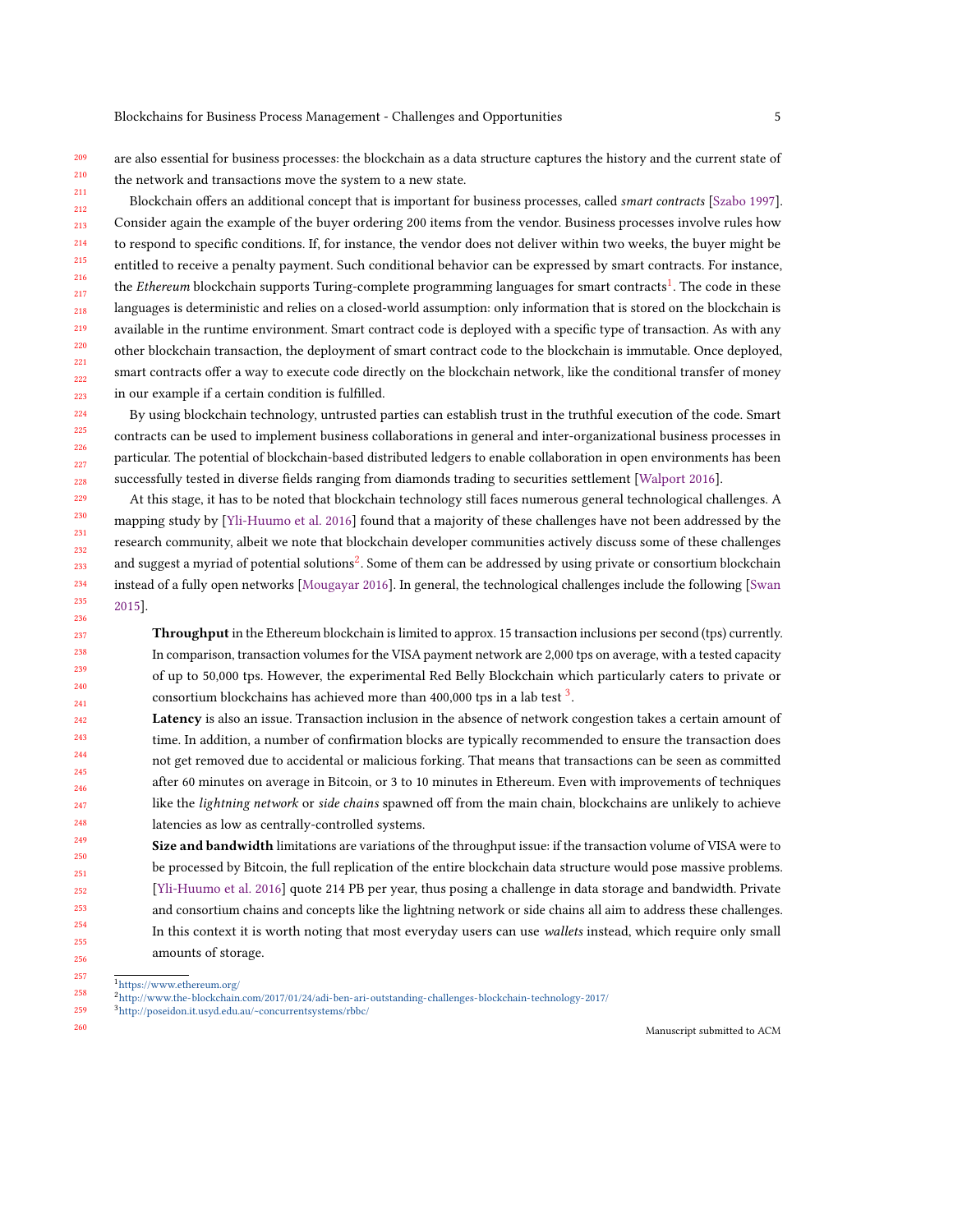209 210 211 are also essential for business processes: the blockchain as a data structure captures the history and the current state of the network and transactions move the system to a new state.

212 213 214 215 216 217 218 219 220 221 222 223 Blockchain offers an additional concept that is important for business processes, called smart contracts [\[Szabo](#page-15-1) [1997\]](#page-15-1). Consider again the example of the buyer ordering 200 items from the vendor. Business processes involve rules how to respond to specific conditions. If, for instance, the vendor does not deliver within two weeks, the buyer might be entitled to receive a penalty payment. Such conditional behavior can be expressed by smart contracts. For instance, the Ethereum blockchain supports Turing-complete programming languages for smart contracts<sup>[1](#page-4-0)</sup>. The code in these languages is deterministic and relies on a closed-world assumption: only information that is stored on the blockchain is available in the runtime environment. Smart contract code is deployed with a specific type of transaction. As with any other blockchain transaction, the deployment of smart contract code to the blockchain is immutable. Once deployed, smart contracts offer a way to execute code directly on the blockchain network, like the conditional transfer of money in our example if a certain condition is fulfilled.

By using blockchain technology, untrusted parties can establish trust in the truthful execution of the code. Smart contracts can be used to implement business collaborations in general and inter-organizational business processes in particular. The potential of blockchain-based distributed ledgers to enable collaboration in open environments has been successfully tested in diverse fields ranging from diamonds trading to securities settlement [\[Walport](#page-15-2) [2016\]](#page-15-2).

At this stage, it has to be noted that blockchain technology still faces numerous general technological challenges. A mapping study by [\[Yli-Huumo et al.](#page-15-3) [2016\]](#page-15-3) found that a majority of these challenges have not been addressed by the research community, albeit we note that blockchain developer communities actively discuss some of these challenges and suggest a myriad of potential solutions $^2$  $^2$ . Some of them can be addressed by using private or consortium blockchain instead of a fully open networks [\[Mougayar](#page-14-3) [2016\]](#page-14-3). In general, the technological challenges include the following [\[Swan](#page-15-4) [2015\]](#page-15-4).

Throughput in the Ethereum blockchain is limited to approx. 15 transaction inclusions per second (tps) currently. In comparison, transaction volumes for the VISA payment network are 2,000 tps on average, with a tested capacity of up to 50,000 tps. However, the experimental Red Belly Blockchain which particularly caters to private or consortium blockchains has achieved more than 400,000 tps in a lab test  $^3$  $^3$ .

Latency is also an issue. Transaction inclusion in the absence of network congestion takes a certain amount of time. In addition, a number of confirmation blocks are typically recommended to ensure the transaction does not get removed due to accidental or malicious forking. That means that transactions can be seen as committed after 60 minutes on average in Bitcoin, or 3 to 10 minutes in Ethereum. Even with improvements of techniques like the lightning network or side chains spawned off from the main chain, blockchains are unlikely to achieve latencies as low as centrally-controlled systems.

249 250 251 252 253 254 255 256 Size and bandwidth limitations are variations of the throughput issue: if the transaction volume of VISA were to be processed by Bitcoin, the full replication of the entire blockchain data structure would pose massive problems. [\[Yli-Huumo et al.](#page-15-3) [2016\]](#page-15-3) quote 214 PB per year, thus posing a challenge in data storage and bandwidth. Private and consortium chains and concepts like the lightning network or side chains all aim to address these challenges. In this context it is worth noting that most everyday users can use wallets instead, which require only small amounts of storage.

<span id="page-4-1"></span><span id="page-4-0"></span><sup>1</sup><https://www.ethereum.org/>

<span id="page-4-2"></span><sup>3</sup><http://poseidon.it.usyd.edu.au/~concurrentsystems/rbbc/>

257

<sup>258</sup> 259 <sup>2</sup><http://www.the-blockchain.com/2017/01/24/adi-ben-ari-outstanding-challenges-blockchain-technology-2017/>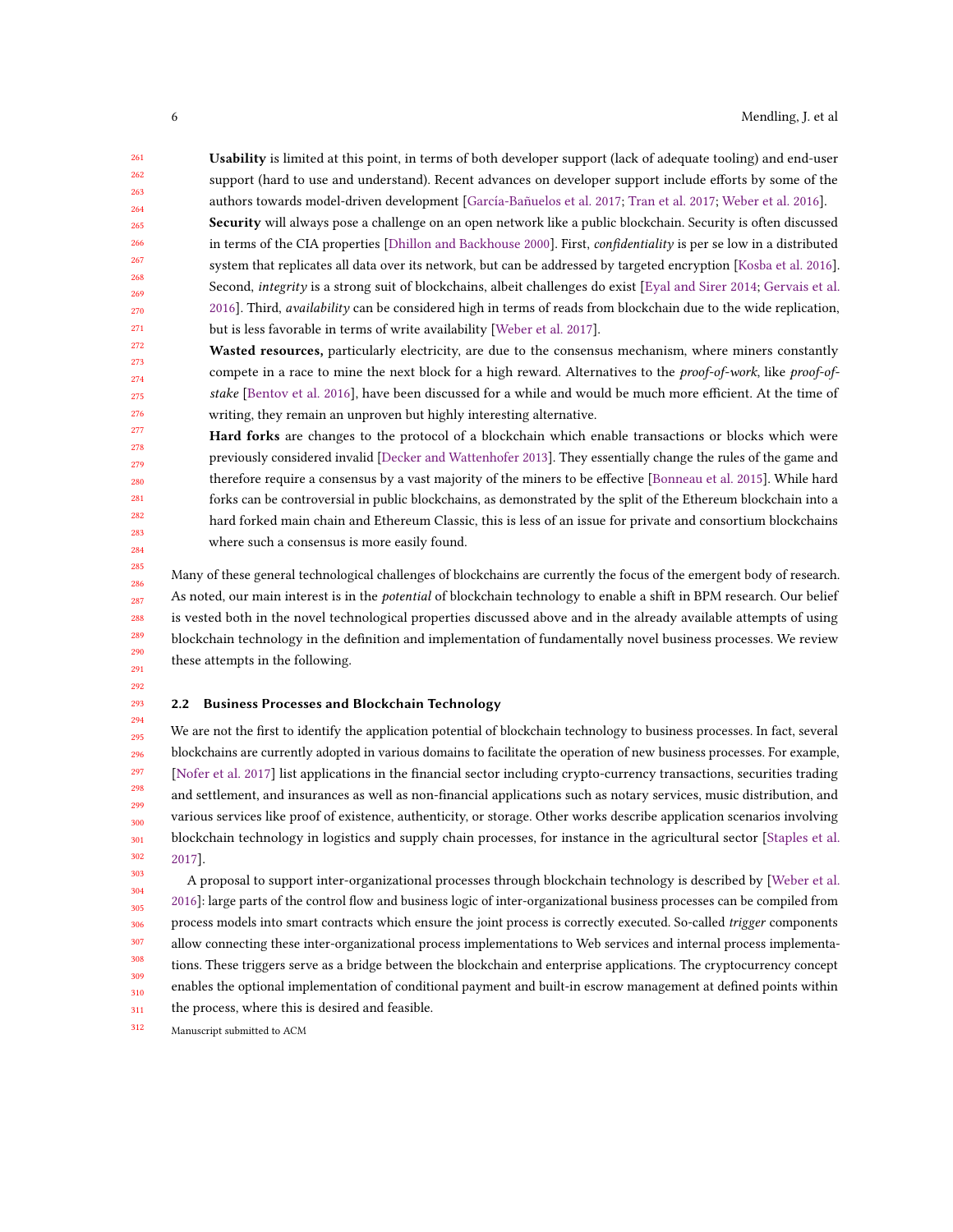- 261 262 263 264 Usability is limited at this point, in terms of both developer support (lack of adequate tooling) and end-user support (hard to use and understand). Recent advances on developer support include efforts by some of the authors towards model-driven development [\[García-Bañuelos et al.](#page-14-4) [2017;](#page-14-4) [Tran et al.](#page-15-5) [2017;](#page-15-5) [Weber et al.](#page-15-6) [2016\]](#page-15-6).
- 265 266 267 268 269 270 271 Security will always pose a challenge on an open network like a public blockchain. Security is often discussed in terms of the CIA properties [\[Dhillon and Backhouse](#page-14-5) [2000\]](#page-14-5). First, confidentiality is per se low in a distributed system that replicates all data over its network, but can be addressed by targeted encryption [\[Kosba et al.](#page-14-6) [2016\]](#page-14-6). Second, integrity is a strong suit of blockchains, albeit challenges do exist [\[Eyal and Sirer](#page-14-7) [2014;](#page-14-7) [Gervais et al.](#page-14-8) [2016\]](#page-14-8). Third, *availability* can be considered high in terms of reads from blockchain due to the wide replication, but is less favorable in terms of write availability [\[Weber et al.](#page-15-7) [2017\]](#page-15-7).
	- Wasted resources, particularly electricity, are due to the consensus mechanism, where miners constantly compete in a race to mine the next block for a high reward. Alternatives to the proof-of-work, like proof-ofstake [\[Bentov et al.](#page-13-0) [2016\]](#page-13-0), have been discussed for a while and would be much more efficient. At the time of writing, they remain an unproven but highly interesting alternative.
	- Hard forks are changes to the protocol of a blockchain which enable transactions or blocks which were previously considered invalid [\[Decker and Wattenhofer](#page-14-9) [2013\]](#page-14-9). They essentially change the rules of the game and therefore require a consensus by a vast majority of the miners to be effective [\[Bonneau et al.](#page-13-1) [2015\]](#page-13-1). While hard forks can be controversial in public blockchains, as demonstrated by the split of the Ethereum blockchain into a hard forked main chain and Ethereum Classic, this is less of an issue for private and consortium blockchains where such a consensus is more easily found.
- 285 286 287 288 289 290 291 Many of these general technological challenges of blockchains are currently the focus of the emergent body of research. As noted, our main interest is in the potential of blockchain technology to enable a shift in BPM research. Our belief is vested both in the novel technological properties discussed above and in the already available attempts of using blockchain technology in the definition and implementation of fundamentally novel business processes. We review these attempts in the following.
- 292 293

294

## 2.2 Business Processes and Blockchain Technology

295 296 297 298 299 300 301 302 We are not the first to identify the application potential of blockchain technology to business processes. In fact, several blockchains are currently adopted in various domains to facilitate the operation of new business processes. For example, [\[Nofer et al.](#page-14-10) [2017\]](#page-14-10) list applications in the financial sector including crypto-currency transactions, securities trading and settlement, and insurances as well as non-financial applications such as notary services, music distribution, and various services like proof of existence, authenticity, or storage. Other works describe application scenarios involving blockchain technology in logistics and supply chain processes, for instance in the agricultural sector [\[Staples et al.](#page-15-8) [2017\]](#page-15-8).

303 304 305 306 307 308 309 310 311 A proposal to support inter-organizational processes through blockchain technology is described by [\[Weber et al.](#page-15-6) [2016\]](#page-15-6): large parts of the control flow and business logic of inter-organizational business processes can be compiled from process models into smart contracts which ensure the joint process is correctly executed. So-called trigger components allow connecting these inter-organizational process implementations to Web services and internal process implementations. These triggers serve as a bridge between the blockchain and enterprise applications. The cryptocurrency concept enables the optional implementation of conditional payment and built-in escrow management at defined points within the process, where this is desired and feasible.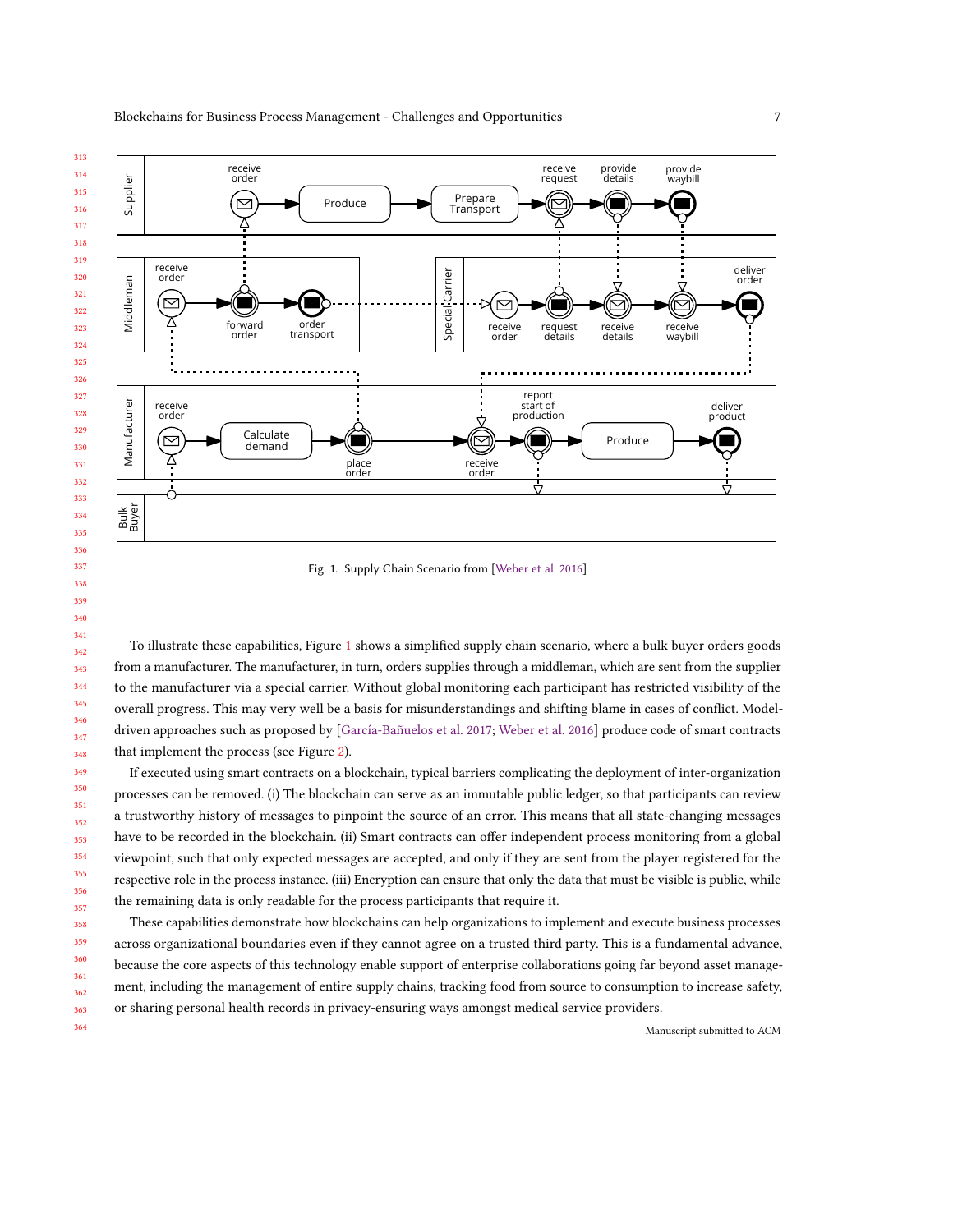<span id="page-6-0"></span>

Fig. 1. Supply Chain Scenario from [\[Weber et al.](#page-15-6) [2016\]](#page-15-6)

To illustrate these capabilities, Figure [1](#page-6-0) shows a simplified supply chain scenario, where a bulk buyer orders goods from a manufacturer. The manufacturer, in turn, orders supplies through a middleman, which are sent from the supplier to the manufacturer via a special carrier. Without global monitoring each participant has restricted visibility of the overall progress. This may very well be a basis for misunderstandings and shifting blame in cases of conflict. Modeldriven approaches such as proposed by [\[García-Bañuelos et al.](#page-14-4) [2017;](#page-14-4) [Weber et al.](#page-15-6) [2016\]](#page-15-6) produce code of smart contracts that implement the process (see Figure [2\)](#page-7-1).

If executed using smart contracts on a blockchain, typical barriers complicating the deployment of inter-organization processes can be removed. (i) The blockchain can serve as an immutable public ledger, so that participants can review a trustworthy history of messages to pinpoint the source of an error. This means that all state-changing messages have to be recorded in the blockchain. (ii) Smart contracts can offer independent process monitoring from a global viewpoint, such that only expected messages are accepted, and only if they are sent from the player registered for the respective role in the process instance. (iii) Encryption can ensure that only the data that must be visible is public, while the remaining data is only readable for the process participants that require it.

These capabilities demonstrate how blockchains can help organizations to implement and execute business processes across organizational boundaries even if they cannot agree on a trusted third party. This is a fundamental advance, because the core aspects of this technology enable support of enterprise collaborations going far beyond asset management, including the management of entire supply chains, tracking food from source to consumption to increase safety, or sharing personal health records in privacy-ensuring ways amongst medical service providers.

Manuscript submitted to ACM

362 363 364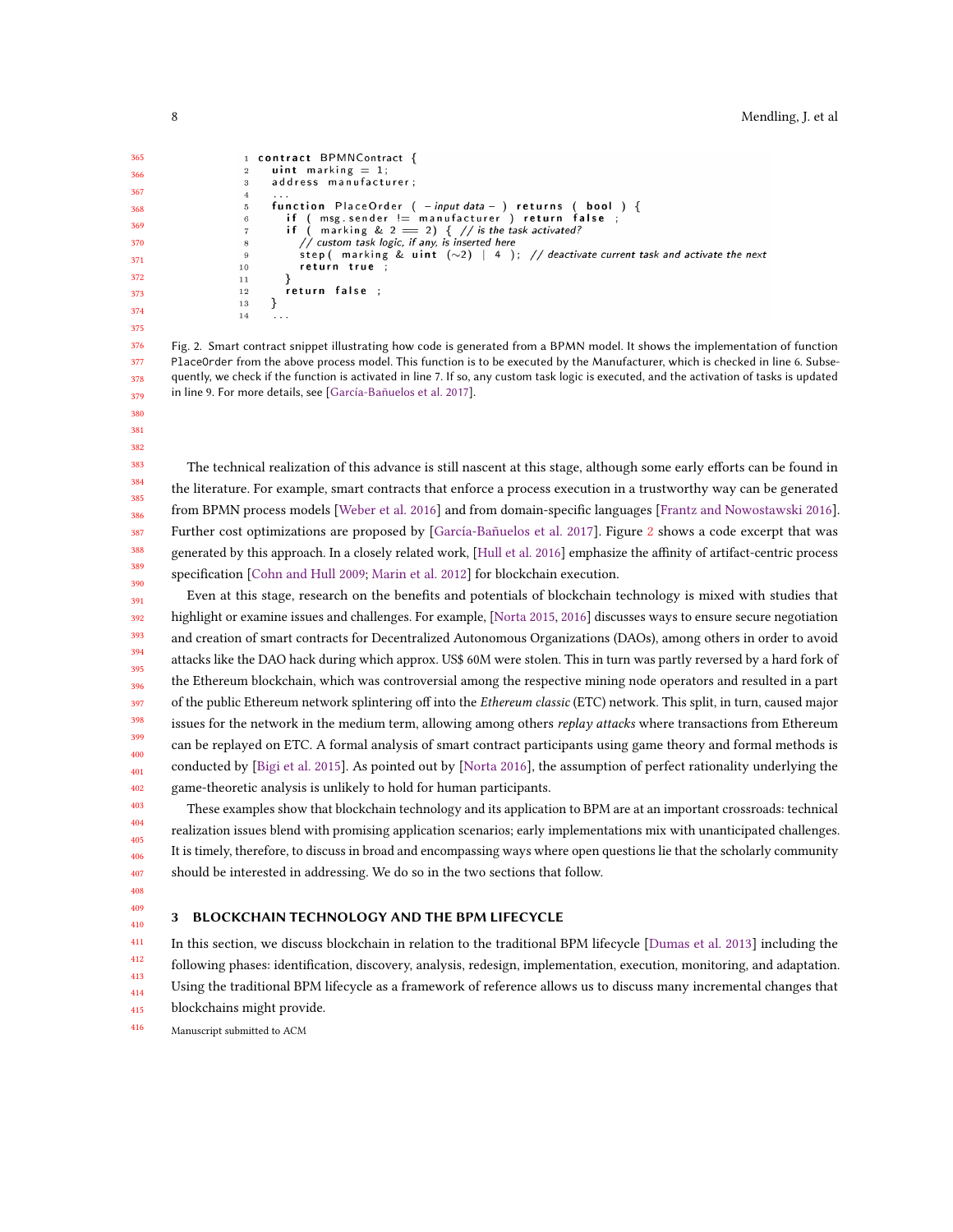```
contract BPMNContract {
365
                            \mathbf{1}uint marking = 1;
                           \ddot{\phantom{0}}366
                                  address manufacturer;
                           3
367
                            \overline{A}function PlaceOrder ( -input data - ) returns ( bool ) {
                            \overline{5}368
                                      if (msg. sender != manufacturer) return false<br>if (msg. sender != manufacturer) return false<br>if (marking & 2 = 2) { // is the task activated?
369
                                         // custom task logic, if any, is inserted here
370
                                          step ( marking & uint (\sim 2) | 4 ); // deactivate current task and activate the next
371
                                         return true ;
                           10372
                           \frac{1}{1}return false ;
                           12373
                          13\mathcal{E}374
                           14375
```
Fig. 2. Smart contract snippet illustrating how code is generated from a BPMN model. It shows the implementation of function PlaceOrder from the above process model. This function is to be executed by the Manufacturer, which is checked in line 6. Subsequently, we check if the function is activated in line 7. If so, any custom task logic is executed, and the activation of tasks is updated in line 9. For more details, see [\[García-Bañuelos et al.](#page-14-4) [2017\]](#page-14-4).

376 377 378

> The technical realization of this advance is still nascent at this stage, although some early efforts can be found in the literature. For example, smart contracts that enforce a process execution in a trustworthy way can be generated from BPMN process models [\[Weber et al.](#page-15-6) [2016\]](#page-15-6) and from domain-specific languages [\[Frantz and Nowostawski](#page-14-11) [2016\]](#page-14-11). Further cost optimizations are proposed by [\[García-Bañuelos et al.](#page-14-4) [2017\]](#page-14-4). Figure [2](#page-7-1) shows a code excerpt that was generated by this approach. In a closely related work, [\[Hull et al.](#page-14-12) [2016\]](#page-14-12) emphasize the affinity of artifact-centric process specification [\[Cohn and Hull](#page-14-13) [2009;](#page-14-13) [Marin et al.](#page-14-14) [2012\]](#page-14-14) for blockchain execution.

391 392 393 394 395 396 397 398 399 400 401 402 Even at this stage, research on the benefits and potentials of blockchain technology is mixed with studies that highlight or examine issues and challenges. For example, [\[Norta](#page-14-15) [2015,](#page-14-15) [2016\]](#page-14-16) discusses ways to ensure secure negotiation and creation of smart contracts for Decentralized Autonomous Organizations (DAOs), among others in order to avoid attacks like the DAO hack during which approx. US\$ 60M were stolen. This in turn was partly reversed by a hard fork of the Ethereum blockchain, which was controversial among the respective mining node operators and resulted in a part of the public Ethereum network splintering off into the Ethereum classic (ETC) network. This split, in turn, caused major issues for the network in the medium term, allowing among others *replay attacks* where transactions from Ethereum can be replayed on ETC. A formal analysis of smart contract participants using game theory and formal methods is conducted by [\[Bigi et al.](#page-13-2) [2015\]](#page-13-2). As pointed out by [\[Norta](#page-14-16) [2016\]](#page-14-16), the assumption of perfect rationality underlying the game-theoretic analysis is unlikely to hold for human participants.

These examples show that blockchain technology and its application to BPM are at an important crossroads: technical realization issues blend with promising application scenarios; early implementations mix with unanticipated challenges. It is timely, therefore, to discuss in broad and encompassing ways where open questions lie that the scholarly community should be interested in addressing. We do so in the two sections that follow.

407 408 409

410

# <span id="page-7-0"></span>3 BLOCKCHAIN TECHNOLOGY AND THE BPM LIFECYCLE

411 412 413 414 415 In this section, we discuss blockchain in relation to the traditional BPM lifecycle [\[Dumas et al.](#page-14-0) [2013\]](#page-14-0) including the following phases: identification, discovery, analysis, redesign, implementation, execution, monitoring, and adaptation. Using the traditional BPM lifecycle as a framework of reference allows us to discuss many incremental changes that blockchains might provide.

<span id="page-7-1"></span>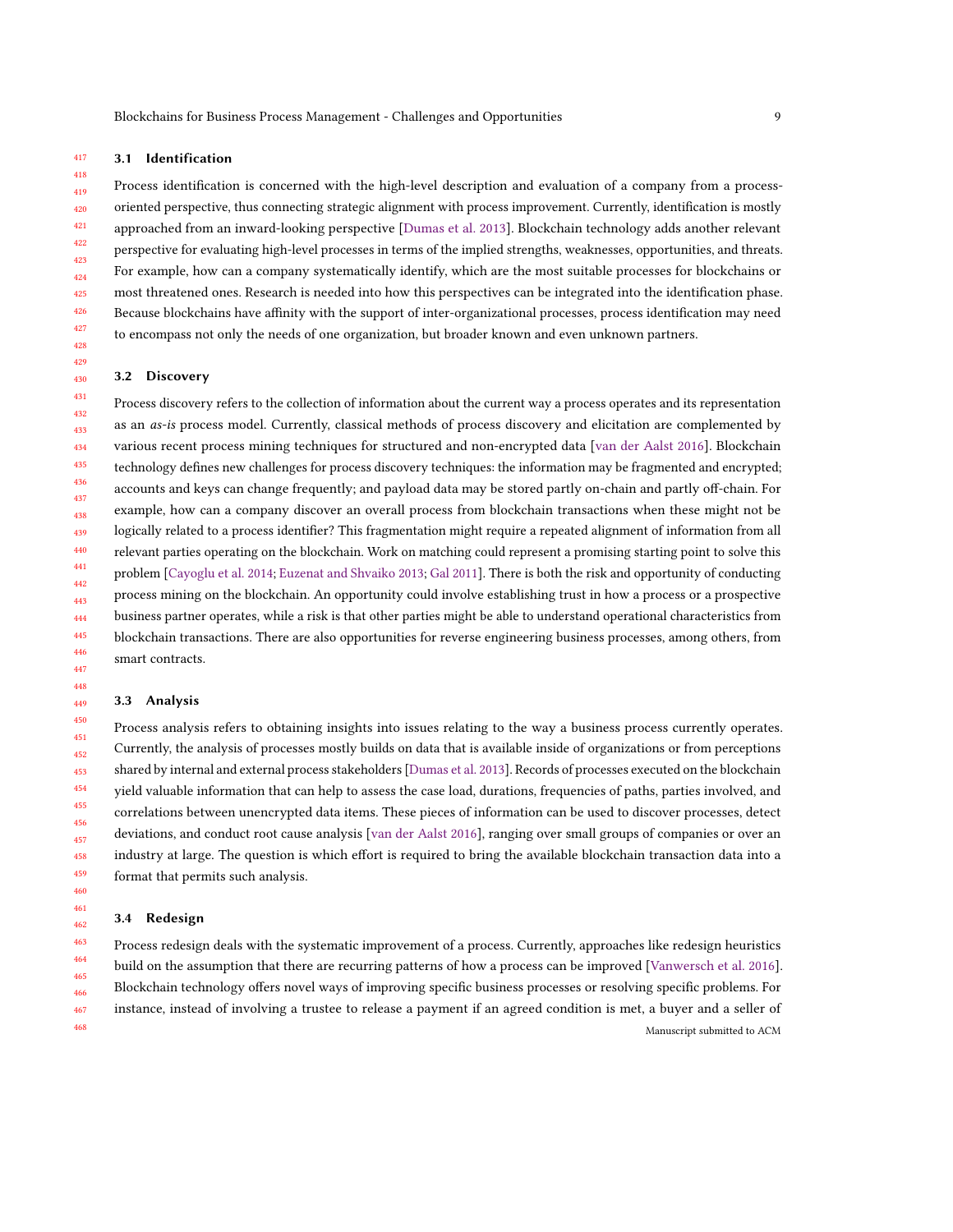#### 417 3.1 Identification

418

429 430

448 449

460 461 462

419 420 421 422 423 424 425 426 427 428 Process identification is concerned with the high-level description and evaluation of a company from a processoriented perspective, thus connecting strategic alignment with process improvement. Currently, identification is mostly approached from an inward-looking perspective [\[Dumas et al.](#page-14-0) [2013\]](#page-14-0). Blockchain technology adds another relevant perspective for evaluating high-level processes in terms of the implied strengths, weaknesses, opportunities, and threats. For example, how can a company systematically identify, which are the most suitable processes for blockchains or most threatened ones. Research is needed into how this perspectives can be integrated into the identification phase. Because blockchains have affinity with the support of inter-organizational processes, process identification may need to encompass not only the needs of one organization, but broader known and even unknown partners.

# 3.2 Discovery

431 432 433 434 435 436 437 438 439 440 441 442 443 444 445 446 447 Process discovery refers to the collection of information about the current way a process operates and its representation as an as-is process model. Currently, classical methods of process discovery and elicitation are complemented by various recent process mining techniques for structured and non-encrypted data [\[van der Aalst](#page-15-9) [2016\]](#page-15-9). Blockchain technology defines new challenges for process discovery techniques: the information may be fragmented and encrypted; accounts and keys can change frequently; and payload data may be stored partly on-chain and partly off-chain. For example, how can a company discover an overall process from blockchain transactions when these might not be logically related to a process identifier? This fragmentation might require a repeated alignment of information from all relevant parties operating on the blockchain. Work on matching could represent a promising starting point to solve this problem [\[Cayoglu et al.](#page-13-3) [2014;](#page-13-3) [Euzenat and Shvaiko](#page-14-17) [2013;](#page-14-17) [Gal](#page-14-18) [2011\]](#page-14-18). There is both the risk and opportunity of conducting process mining on the blockchain. An opportunity could involve establishing trust in how a process or a prospective business partner operates, while a risk is that other parties might be able to understand operational characteristics from blockchain transactions. There are also opportunities for reverse engineering business processes, among others, from smart contracts.

### 3.3 Analysis

450 451 452 453 454 455 456 457 458 459 Process analysis refers to obtaining insights into issues relating to the way a business process currently operates. Currently, the analysis of processes mostly builds on data that is available inside of organizations or from perceptions shared by internal and external process stakeholders [\[Dumas et al.](#page-14-0) [2013\]](#page-14-0). Records of processes executed on the blockchain yield valuable information that can help to assess the case load, durations, frequencies of paths, parties involved, and correlations between unencrypted data items. These pieces of information can be used to discover processes, detect deviations, and conduct root cause analysis [\[van der Aalst](#page-15-9) [2016\]](#page-15-9), ranging over small groups of companies or over an industry at large. The question is which effort is required to bring the available blockchain transaction data into a format that permits such analysis.

### 3.4 Redesign

463 464 465 466 467 468 Process redesign deals with the systematic improvement of a process. Currently, approaches like redesign heuristics build on the assumption that there are recurring patterns of how a process can be improved [\[Vanwersch et al.](#page-15-10) [2016\]](#page-15-10). Blockchain technology offers novel ways of improving specific business processes or resolving specific problems. For instance, instead of involving a trustee to release a payment if an agreed condition is met, a buyer and a seller of Manuscript submitted to ACM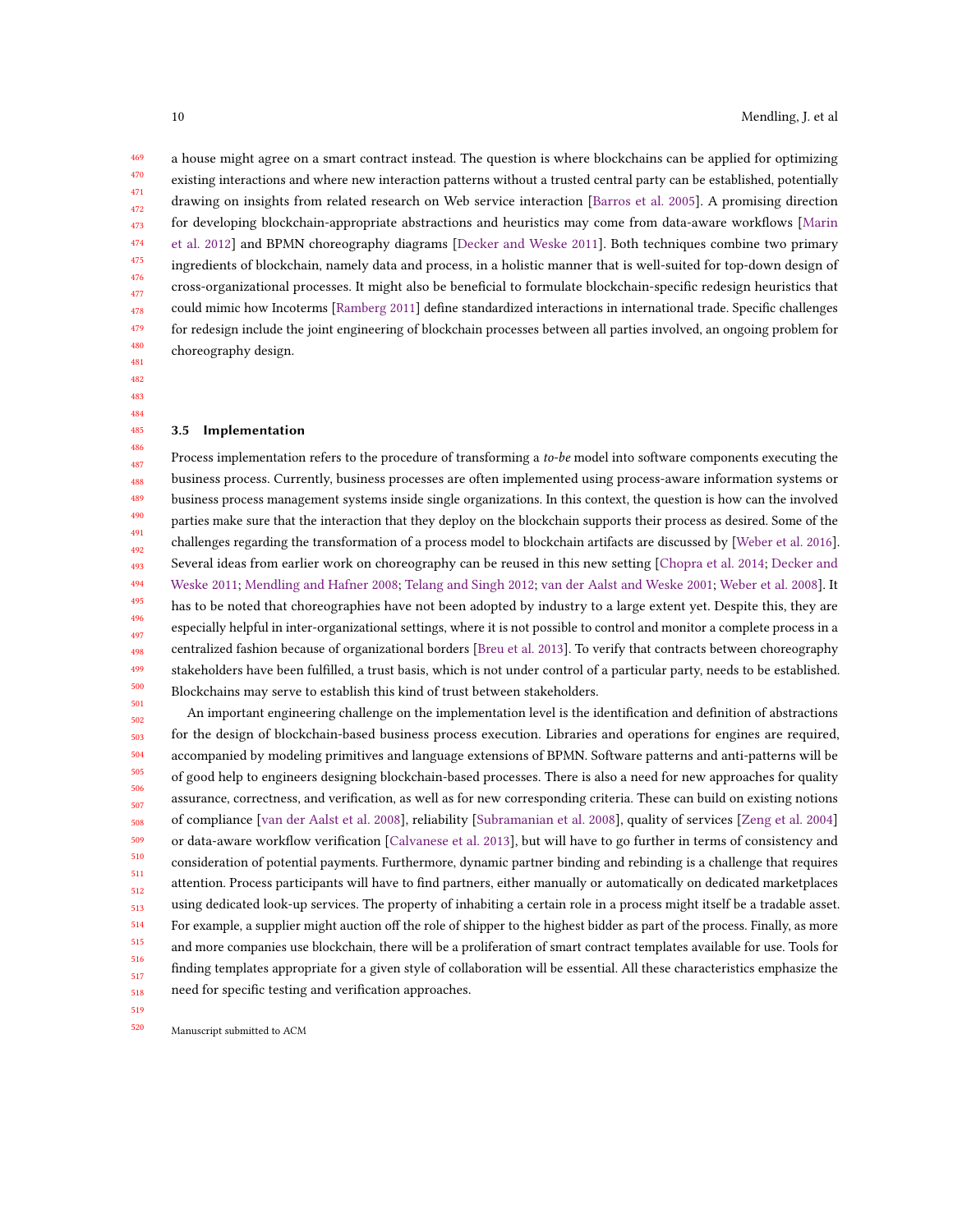469 470 471 472 473 474 475 476 477 478 479 480 481 a house might agree on a smart contract instead. The question is where blockchains can be applied for optimizing existing interactions and where new interaction patterns without a trusted central party can be established, potentially drawing on insights from related research on Web service interaction [\[Barros et al.](#page-13-4) [2005\]](#page-13-4). A promising direction for developing blockchain-appropriate abstractions and heuristics may come from data-aware workflows [\[Marin](#page-14-14) [et al.](#page-14-14) [2012\]](#page-14-14) and BPMN choreography diagrams [\[Decker and Weske](#page-14-19) [2011\]](#page-14-19). Both techniques combine two primary ingredients of blockchain, namely data and process, in a holistic manner that is well-suited for top-down design of cross-organizational processes. It might also be beneficial to formulate blockchain-specific redesign heuristics that could mimic how Incoterms [\[Ramberg](#page-14-20) [2011\]](#page-14-20) define standardized interactions in international trade. Specific challenges for redesign include the joint engineering of blockchain processes between all parties involved, an ongoing problem for choreography design.

- 482
- 483

### 484 485

486

# 3.5 Implementation

487 488 489 490 491 492 493 494 495 496 497 498 499 500 501 Process implementation refers to the procedure of transforming a to-be model into software components executing the business process. Currently, business processes are often implemented using process-aware information systems or business process management systems inside single organizations. In this context, the question is how can the involved parties make sure that the interaction that they deploy on the blockchain supports their process as desired. Some of the challenges regarding the transformation of a process model to blockchain artifacts are discussed by [\[Weber et al.](#page-15-6) [2016\]](#page-15-6). Several ideas from earlier work on choreography can be reused in this new setting [\[Chopra et al.](#page-14-21) [2014;](#page-14-21) [Decker and](#page-14-19) [Weske](#page-14-19) [2011;](#page-14-19) [Mendling and Hafner](#page-14-22) [2008;](#page-14-22) [Telang and Singh](#page-15-11) [2012;](#page-15-11) [van der Aalst and Weske](#page-15-12) [2001;](#page-15-12) [Weber et al.](#page-15-13) [2008\]](#page-15-13). It has to be noted that choreographies have not been adopted by industry to a large extent yet. Despite this, they are especially helpful in inter-organizational settings, where it is not possible to control and monitor a complete process in a centralized fashion because of organizational borders [\[Breu et al.](#page-13-5) [2013\]](#page-13-5). To verify that contracts between choreography stakeholders have been fulfilled, a trust basis, which is not under control of a particular party, needs to be established. Blockchains may serve to establish this kind of trust between stakeholders.

502 503 504 505 506 507 508 509 510 511 512 513 514 515 516 517 518 An important engineering challenge on the implementation level is the identification and definition of abstractions for the design of blockchain-based business process execution. Libraries and operations for engines are required, accompanied by modeling primitives and language extensions of BPMN. Software patterns and anti-patterns will be of good help to engineers designing blockchain-based processes. There is also a need for new approaches for quality assurance, correctness, and verification, as well as for new corresponding criteria. These can build on existing notions of compliance [\[van der Aalst et al.](#page-15-14) [2008\]](#page-15-14), reliability [\[Subramanian et al.](#page-15-15) [2008\]](#page-15-15), quality of services [\[Zeng et al.](#page-15-16) [2004\]](#page-15-16) or data-aware workflow verification [\[Calvanese et al.](#page-13-6) [2013\]](#page-13-6), but will have to go further in terms of consistency and consideration of potential payments. Furthermore, dynamic partner binding and rebinding is a challenge that requires attention. Process participants will have to find partners, either manually or automatically on dedicated marketplaces using dedicated look-up services. The property of inhabiting a certain role in a process might itself be a tradable asset. For example, a supplier might auction off the role of shipper to the highest bidder as part of the process. Finally, as more and more companies use blockchain, there will be a proliferation of smart contract templates available for use. Tools for finding templates appropriate for a given style of collaboration will be essential. All these characteristics emphasize the need for specific testing and verification approaches.

519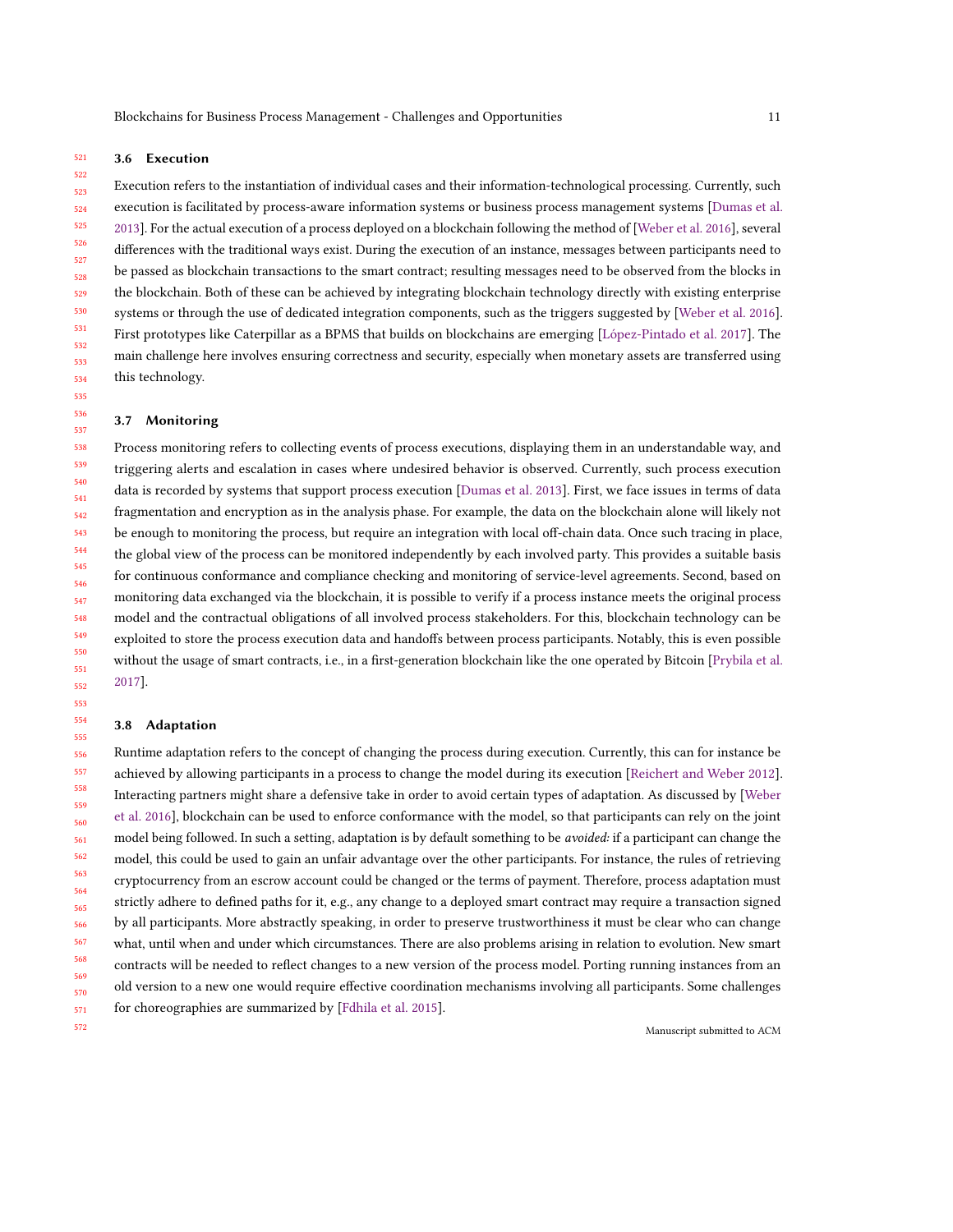#### 521 3.6 Execution

522

535 536 537

553 554 555

572

523 524 525 526 527 528 529 530 531 532 533 534 Execution refers to the instantiation of individual cases and their information-technological processing. Currently, such execution is facilitated by process-aware information systems or business process management systems [\[Dumas et al.](#page-14-0) [2013\]](#page-14-0). For the actual execution of a process deployed on a blockchain following the method of [\[Weber et al.](#page-15-6) [2016\]](#page-15-6), several differences with the traditional ways exist. During the execution of an instance, messages between participants need to be passed as blockchain transactions to the smart contract; resulting messages need to be observed from the blocks in the blockchain. Both of these can be achieved by integrating blockchain technology directly with existing enterprise systems or through the use of dedicated integration components, such as the triggers suggested by [\[Weber et al.](#page-15-6) [2016\]](#page-15-6). First prototypes like Caterpillar as a BPMS that builds on blockchains are emerging [\[López-Pintado et al.](#page-14-23) [2017\]](#page-14-23). The main challenge here involves ensuring correctness and security, especially when monetary assets are transferred using this technology.

### 3.7 Monitoring

538 539 540 541 542 543 544 545 546 547 548 549 550 551 552 Process monitoring refers to collecting events of process executions, displaying them in an understandable way, and triggering alerts and escalation in cases where undesired behavior is observed. Currently, such process execution data is recorded by systems that support process execution [\[Dumas et al.](#page-14-0) [2013\]](#page-14-0). First, we face issues in terms of data fragmentation and encryption as in the analysis phase. For example, the data on the blockchain alone will likely not be enough to monitoring the process, but require an integration with local off-chain data. Once such tracing in place, the global view of the process can be monitored independently by each involved party. This provides a suitable basis for continuous conformance and compliance checking and monitoring of service-level agreements. Second, based on monitoring data exchanged via the blockchain, it is possible to verify if a process instance meets the original process model and the contractual obligations of all involved process stakeholders. For this, blockchain technology can be exploited to store the process execution data and handoffs between process participants. Notably, this is even possible without the usage of smart contracts, i.e., in a first-generation blockchain like the one operated by Bitcoin [\[Prybila et al.](#page-14-24) [2017\]](#page-14-24).

### 3.8 Adaptation

556 557 558 559 560 561 562 563 564 565 566 567 568 569 570 571 Runtime adaptation refers to the concept of changing the process during execution. Currently, this can for instance be achieved by allowing participants in a process to change the model during its execution [\[Reichert and Weber](#page-14-25) [2012\]](#page-14-25). Interacting partners might share a defensive take in order to avoid certain types of adaptation. As discussed by [\[Weber](#page-15-6) [et al.](#page-15-6) [2016\]](#page-15-6), blockchain can be used to enforce conformance with the model, so that participants can rely on the joint model being followed. In such a setting, adaptation is by default something to be avoided: if a participant can change the model, this could be used to gain an unfair advantage over the other participants. For instance, the rules of retrieving cryptocurrency from an escrow account could be changed or the terms of payment. Therefore, process adaptation must strictly adhere to defined paths for it, e.g., any change to a deployed smart contract may require a transaction signed by all participants. More abstractly speaking, in order to preserve trustworthiness it must be clear who can change what, until when and under which circumstances. There are also problems arising in relation to evolution. New smart contracts will be needed to reflect changes to a new version of the process model. Porting running instances from an old version to a new one would require effective coordination mechanisms involving all participants. Some challenges for choreographies are summarized by [\[Fdhila et al.](#page-14-26) [2015\]](#page-14-26).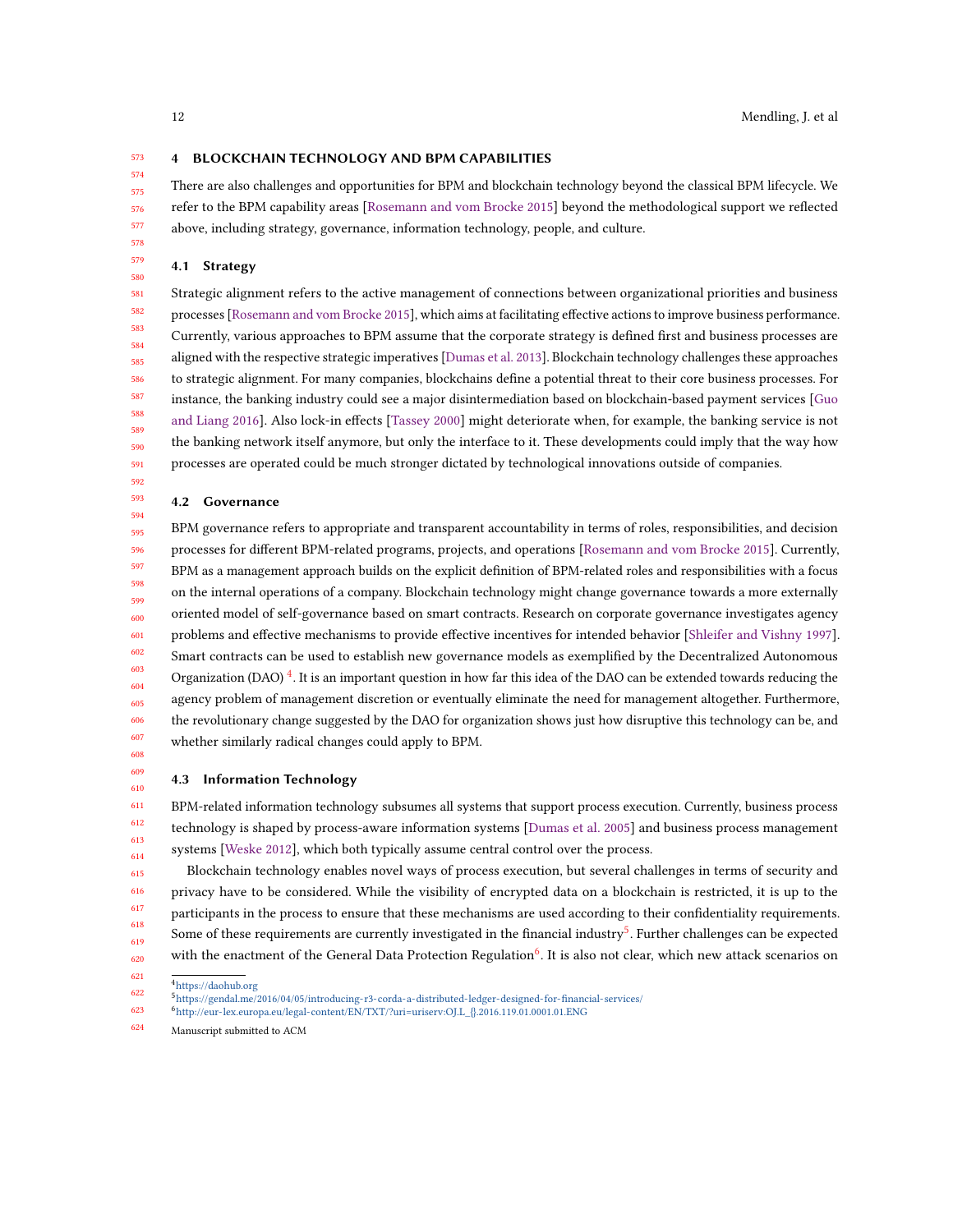### 573

592

594

<span id="page-11-0"></span>4 BLOCKCHAIN TECHNOLOGY AND BPM CAPABILITIES

There are also challenges and opportunities for BPM and blockchain technology beyond the classical BPM lifecycle. We refer to the BPM capability areas [\[Rosemann and vom Brocke](#page-14-1) [2015\]](#page-14-1) beyond the methodological support we reflected above, including strategy, governance, information technology, people, and culture.

### 4.1 Strategy

581 582 583 584 585 586 587 588 589 590 591 Strategic alignment refers to the active management of connections between organizational priorities and business processes [\[Rosemann and vom Brocke](#page-14-1) [2015\]](#page-14-1), which aims at facilitating effective actions to improve business performance. Currently, various approaches to BPM assume that the corporate strategy is defined first and business processes are aligned with the respective strategic imperatives [\[Dumas et al.](#page-14-0) [2013\]](#page-14-0). Blockchain technology challenges these approaches to strategic alignment. For many companies, blockchains define a potential threat to their core business processes. For instance, the banking industry could see a major disintermediation based on blockchain-based payment services [\[Guo](#page-14-27) [and Liang](#page-14-27) [2016\]](#page-14-27). Also lock-in effects [\[Tassey](#page-15-17) [2000\]](#page-15-17) might deteriorate when, for example, the banking service is not the banking network itself anymore, but only the interface to it. These developments could imply that the way how processes are operated could be much stronger dictated by technological innovations outside of companies.

#### 593 4.2 Governance

595 596 597 598 599 600 601 602 603 604 605 606 607 608 BPM governance refers to appropriate and transparent accountability in terms of roles, responsibilities, and decision processes for different BPM-related programs, projects, and operations [\[Rosemann and vom Brocke](#page-14-1) [2015\]](#page-14-1). Currently, BPM as a management approach builds on the explicit definition of BPM-related roles and responsibilities with a focus on the internal operations of a company. Blockchain technology might change governance towards a more externally oriented model of self-governance based on smart contracts. Research on corporate governance investigates agency problems and effective mechanisms to provide effective incentives for intended behavior [\[Shleifer and Vishny](#page-14-28) [1997\]](#page-14-28). Smart contracts can be used to establish new governance models as exemplified by the Decentralized Autonomous Organization (DAO)<sup>[4](#page-11-1)</sup>. It is an important question in how far this idea of the DAO can be extended towards reducing the agency problem of management discretion or eventually eliminate the need for management altogether. Furthermore, the revolutionary change suggested by the DAO for organization shows just how disruptive this technology can be, and whether similarly radical changes could apply to BPM.

## 4.3 Information Technology

611 612 613 614 BPM-related information technology subsumes all systems that support process execution. Currently, business process technology is shaped by process-aware information systems [\[Dumas et al.](#page-14-29) [2005\]](#page-14-29) and business process management systems [\[Weske](#page-15-18) [2012\]](#page-15-18), which both typically assume central control over the process.

616 617 618 619 620 Blockchain technology enables novel ways of process execution, but several challenges in terms of security and privacy have to be considered. While the visibility of encrypted data on a blockchain is restricted, it is up to the participants in the process to ensure that these mechanisms are used according to their confidentiality requirements. Some of these requirements are currently investigated in the financial industry $^5$  $^5$ . Further challenges can be expected with the enactment of the General Data Protection Regulation<sup>[6](#page-11-3)</sup>. It is also not clear, which new attack scenarios on

621

<span id="page-11-2"></span><span id="page-11-1"></span><sup>4</sup><https://daohub.org>

<sup>622</sup> <sup>5</sup><https://gendal.me/2016/04/05/introducing-r3-corda-a-distributed-ledger-designed-for-financial-services/>

<span id="page-11-3"></span><sup>623</sup> <sup>6</sup>[http://eur-lex.europa.eu/legal-content/EN/TXT/?uri=uriserv:OJ.L\\_{}.2016.119.01.0001.01.ENG](http://eur-lex.europa.eu/legal-content/EN/TXT/?uri=uriserv:OJ.L_{}.2016.119.01.0001.01.ENG)

<sup>624</sup> Manuscript submitted to ACM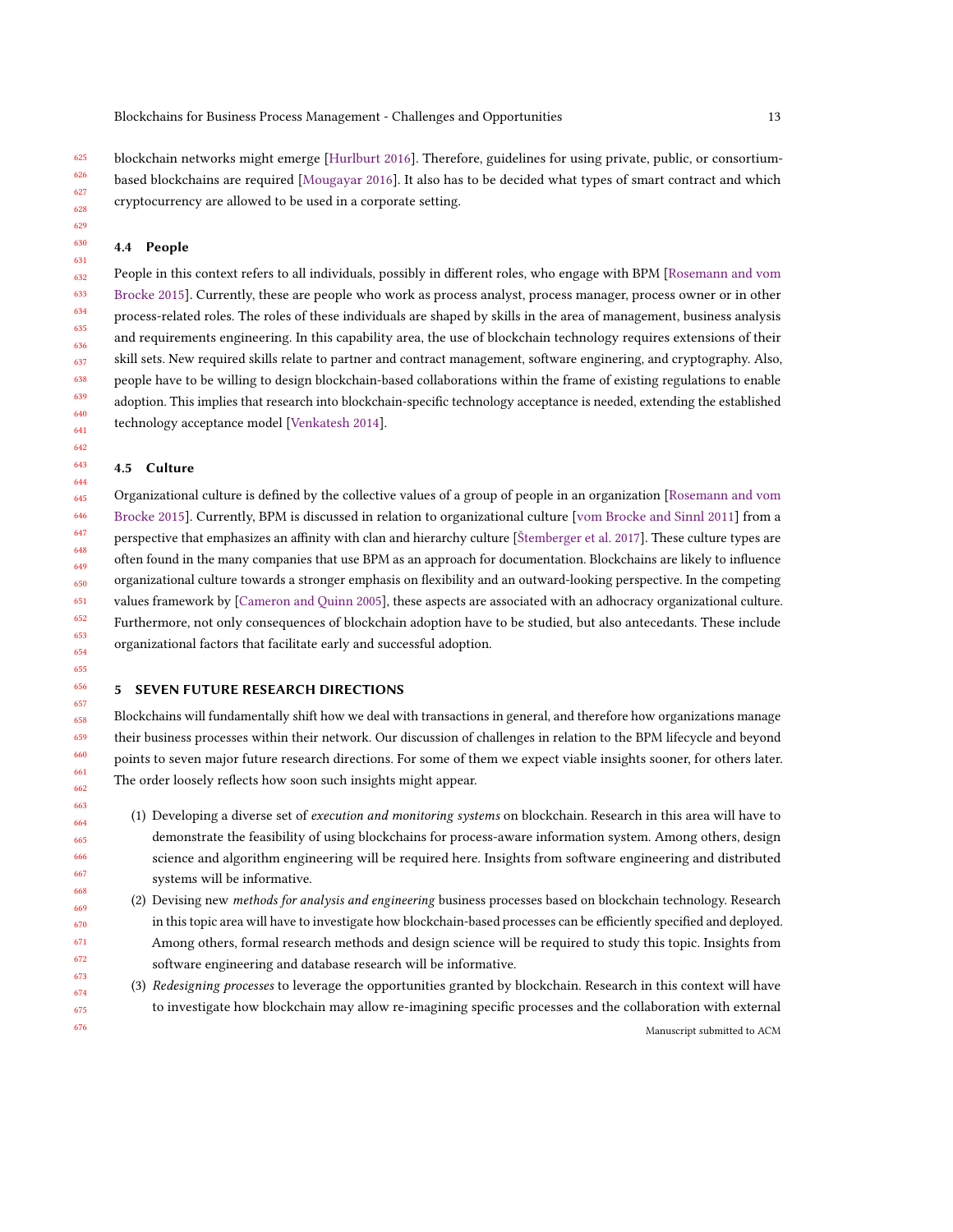625 626 627 628 blockchain networks might emerge [\[Hurlburt](#page-14-30) [2016\]](#page-14-30). Therefore, guidelines for using private, public, or consortiumbased blockchains are required [\[Mougayar](#page-14-3) [2016\]](#page-14-3). It also has to be decided what types of smart contract and which cryptocurrency are allowed to be used in a corporate setting.

## 4.4 People

People in this context refers to all individuals, possibly in different roles, who engage with BPM [\[Rosemann and vom](#page-14-1) [Brocke](#page-14-1) [2015\]](#page-14-1). Currently, these are people who work as process analyst, process manager, process owner or in other process-related roles. The roles of these individuals are shaped by skills in the area of management, business analysis and requirements engineering. In this capability area, the use of blockchain technology requires extensions of their skill sets. New required skills relate to partner and contract management, software enginering, and cryptography. Also, people have to be willing to design blockchain-based collaborations within the frame of existing regulations to enable adoption. This implies that research into blockchain-specific technology acceptance is needed, extending the established technology acceptance model [\[Venkatesh](#page-15-19) [2014\]](#page-15-19).

### 4.5 Culture

Organizational culture is defined by the collective values of a group of people in an organization [\[Rosemann and vom](#page-14-1) [Brocke](#page-14-1) [2015\]](#page-14-1). Currently, BPM is discussed in relation to organizational culture [\[vom Brocke and Sinnl](#page-15-20) [2011\]](#page-15-20) from a perspective that emphasizes an affinity with clan and hierarchy culture [\[Štemberger et al.](#page-15-21) [2017\]](#page-15-21). These culture types are often found in the many companies that use BPM as an approach for documentation. Blockchains are likely to influence organizational culture towards a stronger emphasis on flexibility and an outward-looking perspective. In the competing values framework by [\[Cameron and Quinn](#page-13-7) [2005\]](#page-13-7), these aspects are associated with an adhocracy organizational culture. Furthermore, not only consequences of blockchain adoption have to be studied, but also antecedants. These include organizational factors that facilitate early and successful adoption.

## <span id="page-12-0"></span>5 SEVEN FUTURE RESEARCH DIRECTIONS

Blockchains will fundamentally shift how we deal with transactions in general, and therefore how organizations manage their business processes within their network. Our discussion of challenges in relation to the BPM lifecycle and beyond points to seven major future research directions. For some of them we expect viable insights sooner, for others later. The order loosely reflects how soon such insights might appear.

- (1) Developing a diverse set of execution and monitoring systems on blockchain. Research in this area will have to demonstrate the feasibility of using blockchains for process-aware information system. Among others, design science and algorithm engineering will be required here. Insights from software engineering and distributed systems will be informative.
- (2) Devising new methods for analysis and engineering business processes based on blockchain technology. Research in this topic area will have to investigate how blockchain-based processes can be efficiently specified and deployed. Among others, formal research methods and design science will be required to study this topic. Insights from software engineering and database research will be informative.
- (3) Redesigning processes to leverage the opportunities granted by blockchain. Research in this context will have to investigate how blockchain may allow re-imagining specific processes and the collaboration with external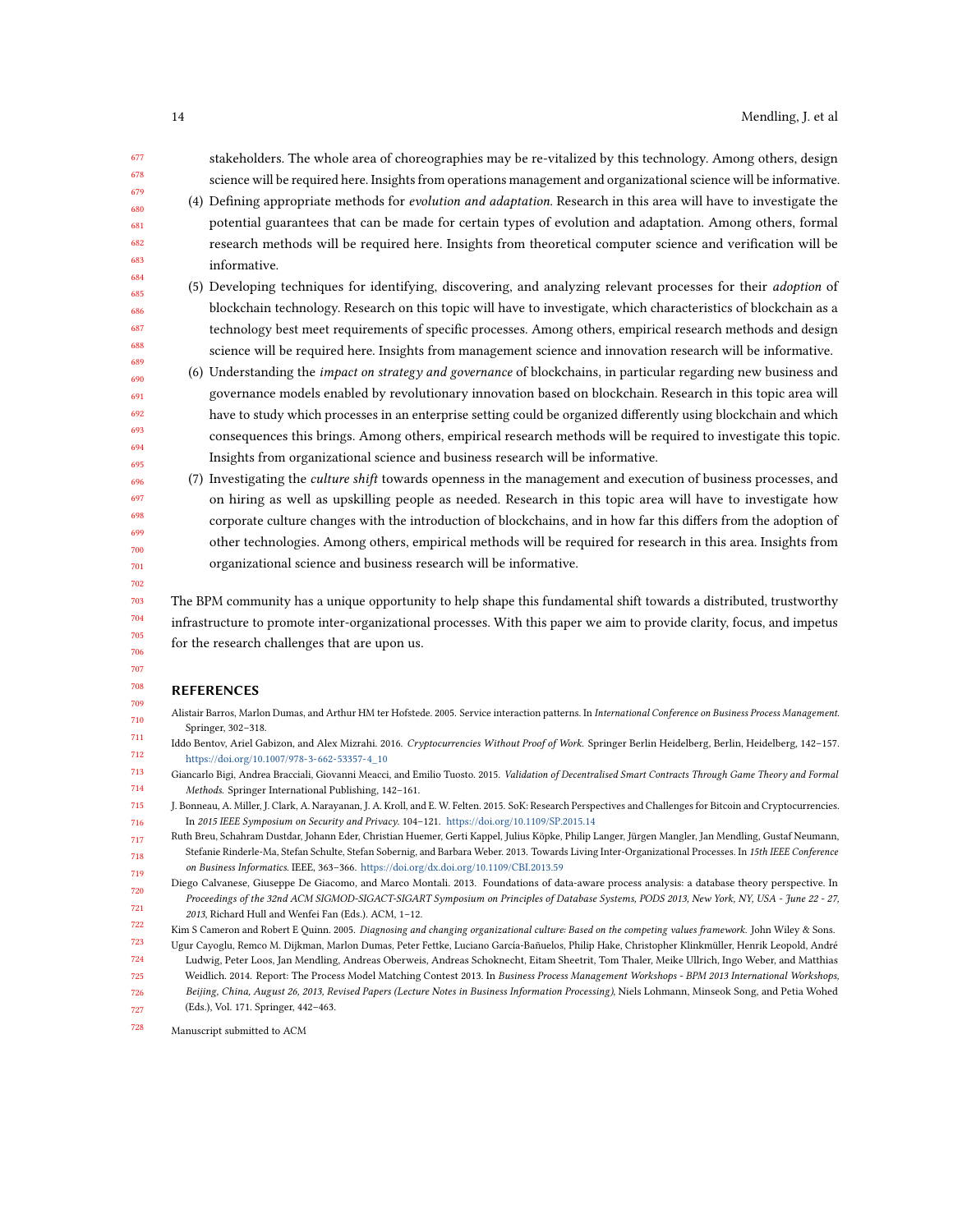stakeholders. The whole area of choreographies may be re-vitalized by this technology. Among others, design science will be required here. Insights from operations management and organizational science will be informative. (4) Defining appropriate methods for evolution and adaptation. Research in this area will have to investigate the potential guarantees that can be made for certain types of evolution and adaptation. Among others, formal research methods will be required here. Insights from theoretical computer science and verification will be informative.

- (5) Developing techniques for identifying, discovering, and analyzing relevant processes for their adoption of blockchain technology. Research on this topic will have to investigate, which characteristics of blockchain as a technology best meet requirements of specific processes. Among others, empirical research methods and design science will be required here. Insights from management science and innovation research will be informative.
- (6) Understanding the impact on strategy and governance of blockchains, in particular regarding new business and governance models enabled by revolutionary innovation based on blockchain. Research in this topic area will have to study which processes in an enterprise setting could be organized differently using blockchain and which consequences this brings. Among others, empirical research methods will be required to investigate this topic. Insights from organizational science and business research will be informative.
- (7) Investigating the culture shift towards openness in the management and execution of business processes, and on hiring as well as upskilling people as needed. Research in this topic area will have to investigate how corporate culture changes with the introduction of blockchains, and in how far this differs from the adoption of other technologies. Among others, empirical methods will be required for research in this area. Insights from organizational science and business research will be informative.

The BPM community has a unique opportunity to help shape this fundamental shift towards a distributed, trustworthy infrastructure to promote inter-organizational processes. With this paper we aim to provide clarity, focus, and impetus for the research challenges that are upon us.

## **REFERENCES**

- <span id="page-13-4"></span>710 Alistair Barros, Marlon Dumas, and Arthur HM ter Hofstede. 2005. Service interaction patterns. In International Conference on Business Process Management. Springer, 302–318.
- <span id="page-13-0"></span>711 712 Iddo Bentov, Ariel Gabizon, and Alex Mizrahi. 2016. Cryptocurrencies Without Proof of Work. Springer Berlin Heidelberg, Berlin, Heidelberg, 142–157. [https://doi.org/10.1007/978-3-662-53357-4\\_10](https://doi.org/10.1007/978-3-662-53357-4_10)
- <span id="page-13-2"></span>713 714 Giancarlo Bigi, Andrea Bracciali, Giovanni Meacci, and Emilio Tuosto. 2015. Validation of Decentralised Smart Contracts Through Game Theory and Formal Methods. Springer International Publishing, 142–161.
- <span id="page-13-1"></span>715 716 J. Bonneau, A. Miller, J. Clark, A. Narayanan, J. A. Kroll, and E. W. Felten. 2015. SoK: Research Perspectives and Challenges for Bitcoin and Cryptocurrencies. In 2015 IEEE Symposium on Security and Privacy. 104–121. <https://doi.org/10.1109/SP.2015.14>
- <span id="page-13-5"></span>717 718 719 Ruth Breu, Schahram Dustdar, Johann Eder, Christian Huemer, Gerti Kappel, Julius Köpke, Philip Langer, Jürgen Mangler, Jan Mendling, Gustaf Neumann, Stefanie Rinderle-Ma, Stefan Schulte, Stefan Sobernig, and Barbara Weber. 2013. Towards Living Inter-Organizational Processes. In 15th IEEE Conference on Business Informatics. IEEE, 363–366. <https://doi.org/dx.doi.org/10.1109/CBI.2013.59>

<span id="page-13-6"></span>720 721 Diego Calvanese, Giuseppe De Giacomo, and Marco Montali. 2013. Foundations of data-aware process analysis: a database theory perspective. In Proceedings of the 32nd ACM SIGMOD-SIGACT-SIGART Symposium on Principles of Database Systems, PODS 2013, New York, NY, USA - June 22 - 27, 2013, Richard Hull and Wenfei Fan (Eds.). ACM, 1–12.

- <span id="page-13-7"></span>722 723 Kim S Cameron and Robert E Quinn. 2005. Diagnosing and changing organizational culture: Based on the competing values framework. John Wiley & Sons.
- <span id="page-13-3"></span>724 Ugur Cayoglu, Remco M. Dijkman, Marlon Dumas, Peter Fettke, Luciano García-Bañuelos, Philip Hake, Christopher Klinkmüller, Henrik Leopold, André Ludwig, Peter Loos, Jan Mendling, Andreas Oberweis, Andreas Schoknecht, Eitam Sheetrit, Tom Thaler, Meike Ullrich, Ingo Weber, and Matthias
- 725 726 Weidlich. 2014. Report: The Process Model Matching Contest 2013. In Business Process Management Workshops - BPM 2013 International Workshops, Beijing, China, August 26, 2013, Revised Papers (Lecture Notes in Business Information Processing), Niels Lohmann, Minseok Song, and Petia Wohed
- 727 (Eds.), Vol. 171. Springer, 442–463.

<sup>728</sup> Manuscript submitted to ACM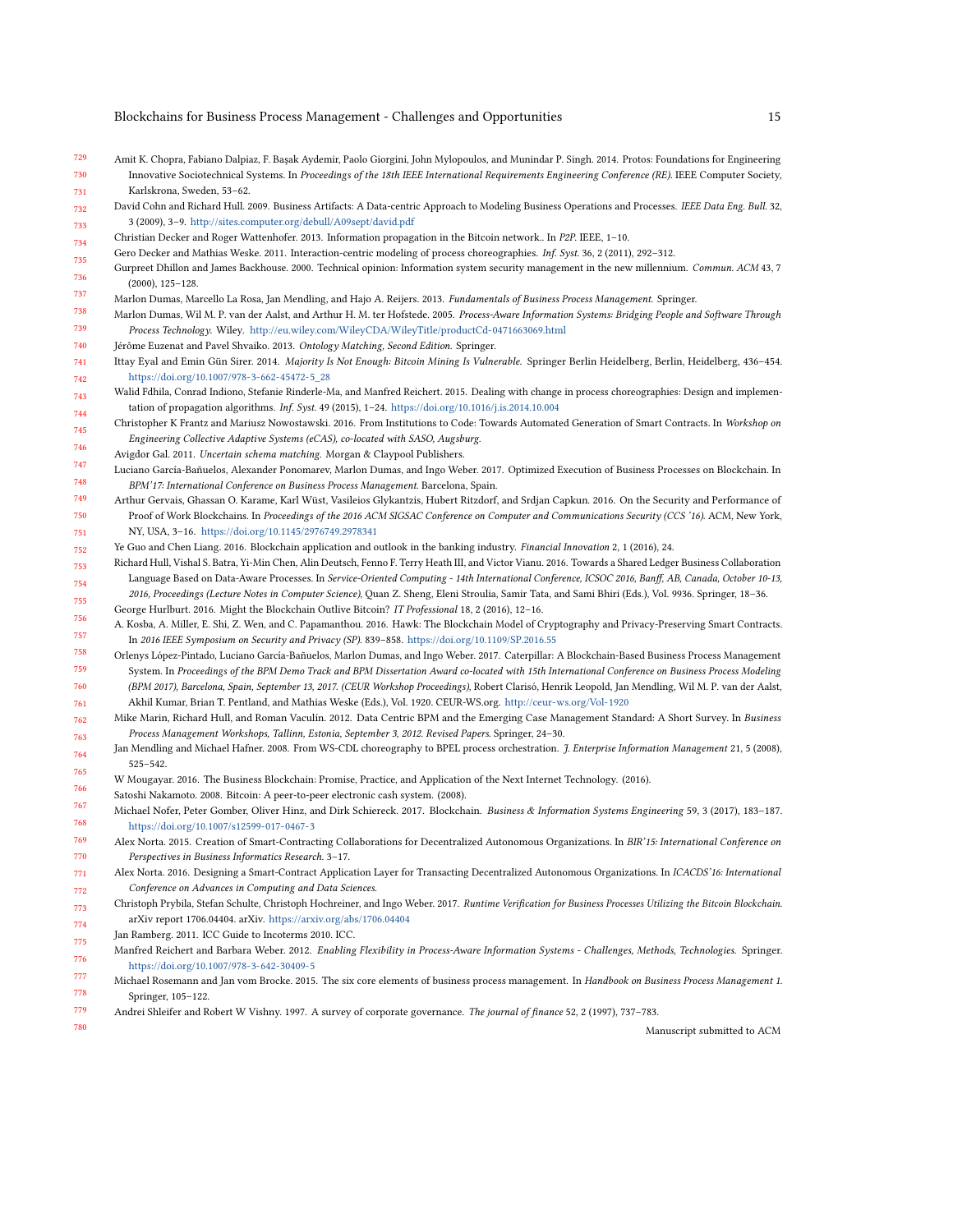### Blockchains for Business Process Management - Challenges and Opportunities 15

- <span id="page-14-21"></span>729 730 731 Amit K. Chopra, Fabiano Dalpiaz, F. Başak Aydemir, Paolo Giorgini, John Mylopoulos, and Munindar P. Singh. 2014. Protos: Foundations for Engineering Innovative Sociotechnical Systems. In Proceedings of the 18th IEEE International Requirements Engineering Conference (RE). IEEE Computer Society, Karlskrona, Sweden, 53–62.
- <span id="page-14-13"></span>732 733 David Cohn and Richard Hull. 2009. Business Artifacts: A Data-centric Approach to Modeling Business Operations and Processes. IEEE Data Eng. Bull. 32, 3 (2009), 3–9. <http://sites.computer.org/debull/A09sept/david.pdf>
- <span id="page-14-9"></span>734 Christian Decker and Roger Wattenhofer. 2013. Information propagation in the Bitcoin network.. In P2P. IEEE, 1–10.
- <span id="page-14-19"></span>735 Gero Decker and Mathias Weske. 2011. Interaction-centric modeling of process choreographies. Inf. Syst. 36, 2 (2011), 292–312.
- <span id="page-14-5"></span>736 Gurpreet Dhillon and James Backhouse. 2000. Technical opinion: Information system security management in the new millennium. Commun. ACM 43, 7 (2000), 125–128.
- <span id="page-14-0"></span>737 Marlon Dumas, Marcello La Rosa, Jan Mendling, and Hajo A. Reijers. 2013. Fundamentals of Business Process Management. Springer.
- <span id="page-14-29"></span>738 739 Marlon Dumas, Wil M. P. van der Aalst, and Arthur H. M. ter Hofstede. 2005. Process-Aware Information Systems: Bridging People and Software Through Process Technology. Wiley. <http://eu.wiley.com/WileyCDA/WileyTitle/productCd-0471663069.html>
- <span id="page-14-17"></span>740 Jérôme Euzenat and Pavel Shvaiko. 2013. Ontology Matching, Second Edition. Springer.
- <span id="page-14-7"></span>741 742 Ittay Eyal and Emin Gün Sirer. 2014. Majority Is Not Enough: Bitcoin Mining Is Vulnerable. Springer Berlin Heidelberg, Berlin, Heidelberg, 436–454. [https://doi.org/10.1007/978-3-662-45472-5\\_28](https://doi.org/10.1007/978-3-662-45472-5_28)
- <span id="page-14-26"></span>743 744 Walid Fdhila, Conrad Indiono, Stefanie Rinderle-Ma, and Manfred Reichert. 2015. Dealing with change in process choreographies: Design and implementation of propagation algorithms. Inf. Syst. 49 (2015), 1–24. <https://doi.org/10.1016/j.is.2014.10.004>
- <span id="page-14-11"></span>745 746 Christopher K Frantz and Mariusz Nowostawski. 2016. From Institutions to Code: Towards Automated Generation of Smart Contracts. In Workshop on Engineering Collective Adaptive Systems (eCAS), co-located with SASO, Augsburg.
	- Avigdor Gal. 2011. Uncertain schema matching. Morgan & Claypool Publishers.
- <span id="page-14-18"></span><span id="page-14-4"></span>747 748 Luciano García-Bañuelos, Alexander Ponomarev, Marlon Dumas, and Ingo Weber. 2017. Optimized Execution of Business Processes on Blockchain. In BPM'17: International Conference on Business Process Management. Barcelona, Spain.
- <span id="page-14-27"></span><span id="page-14-12"></span><span id="page-14-8"></span>749 750 751 Arthur Gervais, Ghassan O. Karame, Karl Wüst, Vasileios Glykantzis, Hubert Ritzdorf, and Srdjan Capkun. 2016. On the Security and Performance of Proof of Work Blockchains. In Proceedings of the 2016 ACM SIGSAC Conference on Computer and Communications Security (CCS '16). ACM, New York, NY, USA, 3–16. <https://doi.org/10.1145/2976749.2978341>
	- Ye Guo and Chen Liang. 2016. Blockchain application and outlook in the banking industry. Financial Innovation 2, 1 (2016), 24.
	- Richard Hull, Vishal S. Batra, Yi-Min Chen, Alin Deutsch, Fenno F. Terry Heath III, and Victor Vianu. 2016. Towards a Shared Ledger Business Collaboration Language Based on Data-Aware Processes. In Service-Oriented Computing - 14th International Conference, ICSOC 2016, Banff, AB, Canada, October 10-13, 2016, Proceedings (Lecture Notes in Computer Science), Quan Z. Sheng, Eleni Stroulia, Samir Tata, and Sami Bhiri (Eds.), Vol. 9936. Springer, 18–36. George Hurlburt. 2016. Might the Blockchain Outlive Bitcoin? IT Professional 18, 2 (2016), 12–16.
	- A. Kosba, A. Miller, E. Shi, Z. Wen, and C. Papamanthou. 2016. Hawk: The Blockchain Model of Cryptography and Privacy-Preserving Smart Contracts. In 2016 IEEE Symposium on Security and Privacy (SP). 839–858. <https://doi.org/10.1109/SP.2016.55>
- <span id="page-14-30"></span><span id="page-14-23"></span><span id="page-14-6"></span>758 759 760 761 Orlenys López-Pintado, Luciano García-Bañuelos, Marlon Dumas, and Ingo Weber. 2017. Caterpillar: A Blockchain-Based Business Process Management System. In Proceedings of the BPM Demo Track and BPM Dissertation Award co-located with 15th International Conference on Business Process Modeling (BPM 2017), Barcelona, Spain, September 13, 2017. (CEUR Workshop Proceedings), Robert Clarisó, Henrik Leopold, Jan Mendling, Wil M. P. van der Aalst, Akhil Kumar, Brian T. Pentland, and Mathias Weske (Eds.), Vol. 1920. CEUR-WS.org. <http://ceur-ws.org/Vol-1920>
- <span id="page-14-14"></span>762 763 Mike Marin, Richard Hull, and Roman Vaculín. 2012. Data Centric BPM and the Emerging Case Management Standard: A Short Survey. In Business Process Management Workshops, Tallinn, Estonia, September 3, 2012. Revised Papers. Springer, 24–30.
- <span id="page-14-22"></span>764 765 Jan Mendling and Michael Hafner. 2008. From WS-CDL choreography to BPEL process orchestration. J. Enterprise Information Management 21, 5 (2008), 525–542.
	- W Mougayar. 2016. The Business Blockchain: Promise, Practice, and Application of the Next Internet Technology. (2016).
	- Satoshi Nakamoto. 2008. Bitcoin: A peer-to-peer electronic cash system. (2008).
- <span id="page-14-10"></span>767 768 Michael Nofer, Peter Gomber, Oliver Hinz, and Dirk Schiereck. 2017. Blockchain. Business & Information Systems Engineering 59, 3 (2017), 183–187. <https://doi.org/10.1007/s12599-017-0467-3>
- <span id="page-14-15"></span>769 770 Alex Norta. 2015. Creation of Smart-Contracting Collaborations for Decentralized Autonomous Organizations. In BIR'15: International Conference on Perspectives in Business Informatics Research. 3–17.
- <span id="page-14-16"></span>771 772 Alex Norta. 2016. Designing a Smart-Contract Application Layer for Transacting Decentralized Autonomous Organizations. In ICACDS'16: International Conference on Advances in Computing and Data Sciences.
- <span id="page-14-24"></span>773 774 Christoph Prybila, Stefan Schulte, Christoph Hochreiner, and Ingo Weber. 2017. Runtime Verification for Business Processes Utilizing the Bitcoin Blockchain. arXiv report 1706.04404. arXiv. <https://arxiv.org/abs/1706.04404>
- <span id="page-14-20"></span>775 Jan Ramberg. 2011. ICC Guide to Incoterms 2010. ICC.

<span id="page-14-3"></span><span id="page-14-2"></span>766

780

- <span id="page-14-25"></span>776 777 Manfred Reichert and Barbara Weber. 2012. Enabling Flexibility in Process-Aware Information Systems - Challenges, Methods, Technologies. Springer. <https://doi.org/10.1007/978-3-642-30409-5>
- <span id="page-14-1"></span>778 Michael Rosemann and Jan vom Brocke. 2015. The six core elements of business process management. In Handbook on Business Process Management 1. Springer, 105–122.
- <span id="page-14-28"></span>779 Andrei Shleifer and Robert W Vishny. 1997. A survey of corporate governance. The journal of finance 52, 2 (1997), 737–783.